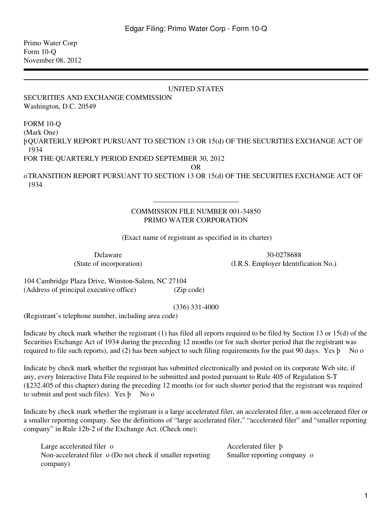Primo Water Corp Form 10-Q November 08, 2012

## UNITED STATES

SECURITIES AND EXCHANGE COMMISSION Washington, D.C. 20549

## FORM 10-Q

(Mark One)

þQUARTERLY REPORT PURSUANT TO SECTION 13 OR 15(d) OF THE SECURITIES EXCHANGE ACT OF 1934

FOR THE QUARTERLY PERIOD ENDED SEPTEMBER 30, 2012

OR

oTRANSITION REPORT PURSUANT TO SECTION 13 OR 15(d) OF THE SECURITIES EXCHANGE ACT OF 1934

## COMMISSION FILE NUMBER 001-34850 PRIMO WATER CORPORATION

(Exact name of registrant as specified in its charter)

Delaware 30-0278688 (State of incorporation) (I.R.S. Employer Identification No.)

104 Cambridge Plaza Drive, Winston-Salem, NC 27104 (Address of principal executive office) (Zip code)

(336) 331-4000

(Registrant's telephone number, including area code)

Indicate by check mark whether the registrant (1) has filed all reports required to be filed by Section 13 or 15(d) of the Securities Exchange Act of 1934 during the preceding 12 months (or for such shorter period that the registrant was required to file such reports), and (2) has been subject to such filing requirements for the past 90 days. Yes þ No o

Indicate by check mark whether the registrant has submitted electronically and posted on its corporate Web site, if any, every Interactive Data File required to be submitted and posted pursuant to Rule 405 of Regulation S-T (§232.405 of this chapter) during the preceding 12 months (or for such shorter period that the registrant was required to submit and post such files). Yes  $\beta$  No o

Indicate by check mark whether the registrant is a large accelerated filer, an accelerated filer, a non-accelerated filer or a smaller reporting company. See the definitions of "large accelerated filer," "accelerated filer" and "smaller reporting company" in Rule 12b-2 of the Exchange Act. (Check one):

Large accelerated filer o Accelerated filer b Non-accelerated filer o (Do not check if smaller reporting company)

Smaller reporting company o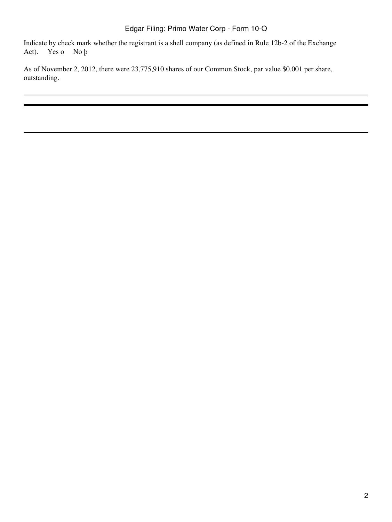Indicate by check mark whether the registrant is a shell company (as defined in Rule 12b-2 of the Exchange Act). Yes o No þ

As of November 2, 2012, there were 23,775,910 shares of our Common Stock, par value \$0.001 per share, outstanding.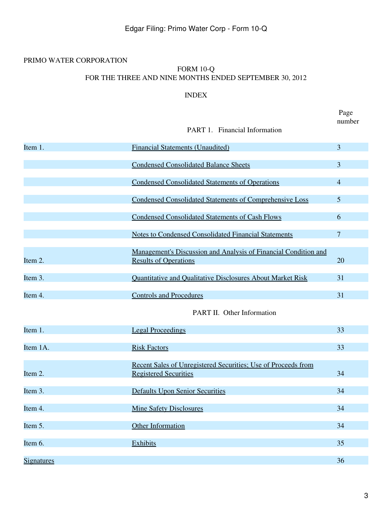# PRIMO WATER CORPORATION

## FORM 10-Q FOR THE THREE AND NINE MONTHS ENDED SEPTEMBER 30, 2012

## INDEX

<span id="page-2-0"></span>

|                   | PART 1. Financial Information                                                                   | Page<br>number |
|-------------------|-------------------------------------------------------------------------------------------------|----------------|
| Item 1.           | <b>Financial Statements (Unaudited)</b>                                                         | 3              |
|                   | <b>Condensed Consolidated Balance Sheets</b>                                                    | 3              |
|                   | <b>Condensed Consolidated Statements of Operations</b>                                          | 4              |
|                   | <b>Condensed Consolidated Statements of Comprehensive Loss</b>                                  | 5              |
|                   | <b>Condensed Consolidated Statements of Cash Flows</b>                                          | 6              |
|                   | <b>Notes to Condensed Consolidated Financial Statements</b>                                     | 7              |
| Item 2.           | Management's Discussion and Analysis of Financial Condition and<br><b>Results of Operations</b> | 20             |
| Item 3.           | Quantitative and Qualitative Disclosures About Market Risk                                      | 31             |
| Item 4.           | <b>Controls and Procedures</b>                                                                  | 31             |
|                   | PART II. Other Information                                                                      |                |
| Item 1.           | <b>Legal Proceedings</b>                                                                        | 33             |
| Item 1A.          | <b>Risk Factors</b>                                                                             | 33             |
| Item 2.           | Recent Sales of Unregistered Securities; Use of Proceeds from<br><b>Registered Securities</b>   | 34             |
| Item 3.           | <b>Defaults Upon Senior Securities</b>                                                          | 34             |
| Item 4.           | <b>Mine Safety Disclosures</b>                                                                  | 34             |
| Item 5.           | <b>Other Information</b>                                                                        | 34             |
| Item 6.           | Exhibits                                                                                        | 35             |
| <b>Signatures</b> |                                                                                                 | 36             |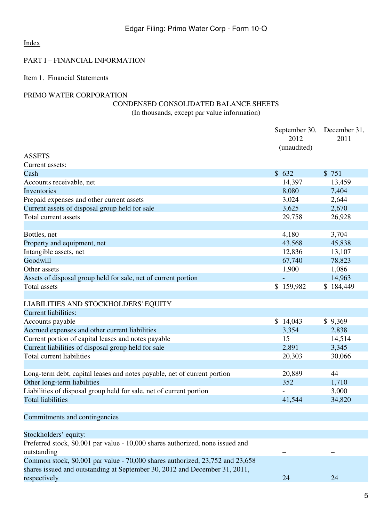## PART I – FINANCIAL INFORMATION

# <span id="page-4-0"></span>Item 1. Financial Statements

# <span id="page-4-1"></span>PRIMO WATER CORPORATION

# CONDENSED CONSOLIDATED BALANCE SHEETS

(In thousands, except par value information)

|                                                                                                                                                             | September 30,<br>2012<br>(unaudited) | December 31,<br>2011 |
|-------------------------------------------------------------------------------------------------------------------------------------------------------------|--------------------------------------|----------------------|
| <b>ASSETS</b>                                                                                                                                               |                                      |                      |
| Current assets:                                                                                                                                             |                                      |                      |
| Cash                                                                                                                                                        | \$632                                | \$751                |
| Accounts receivable, net                                                                                                                                    | 14,397                               | 13,459               |
| Inventories                                                                                                                                                 | 8,080                                | 7,404                |
| Prepaid expenses and other current assets                                                                                                                   | 3,024                                | 2,644                |
| Current assets of disposal group held for sale                                                                                                              | 3,625                                | 2,670                |
| Total current assets                                                                                                                                        | 29,758                               | 26,928               |
|                                                                                                                                                             |                                      |                      |
| Bottles, net                                                                                                                                                | 4,180                                | 3,704                |
| Property and equipment, net                                                                                                                                 | 43,568                               | 45,838               |
| Intangible assets, net                                                                                                                                      | 12,836                               | 13,107               |
| Goodwill                                                                                                                                                    | 67,740                               | 78,823               |
| Other assets                                                                                                                                                | 1,900                                | 1,086                |
| Assets of disposal group held for sale, net of current portion                                                                                              | ÷.                                   | 14,963               |
| <b>Total assets</b>                                                                                                                                         | \$159,982                            | \$184,449            |
|                                                                                                                                                             |                                      |                      |
| LIABILITIES AND STOCKHOLDERS' EQUITY                                                                                                                        |                                      |                      |
| <b>Current liabilities:</b>                                                                                                                                 |                                      |                      |
| Accounts payable                                                                                                                                            | \$14,043                             | \$9,369              |
| Accrued expenses and other current liabilities                                                                                                              | 3,354                                | 2,838                |
| Current portion of capital leases and notes payable                                                                                                         | 15                                   | 14,514               |
| Current liabilities of disposal group held for sale                                                                                                         | 2,891                                | 3,345                |
| <b>Total current liabilities</b>                                                                                                                            | 20,303                               | 30,066               |
|                                                                                                                                                             |                                      |                      |
| Long-term debt, capital leases and notes payable, net of current portion                                                                                    | 20,889                               | 44                   |
| Other long-term liabilities                                                                                                                                 | 352                                  | 1,710                |
| Liabilities of disposal group held for sale, net of current portion                                                                                         |                                      | 3,000                |
| <b>Total liabilities</b>                                                                                                                                    | 41,544                               | 34,820               |
|                                                                                                                                                             |                                      |                      |
| Commitments and contingencies                                                                                                                               |                                      |                      |
|                                                                                                                                                             |                                      |                      |
| Stockholders' equity:                                                                                                                                       |                                      |                      |
| Preferred stock, \$0.001 par value - 10,000 shares authorized, none issued and<br>outstanding                                                               |                                      |                      |
| Common stock, \$0.001 par value - 70,000 shares authorized, 23,752 and 23,658<br>shares issued and outstanding at September 30, 2012 and December 31, 2011, |                                      |                      |
| respectively                                                                                                                                                | 24                                   | 24                   |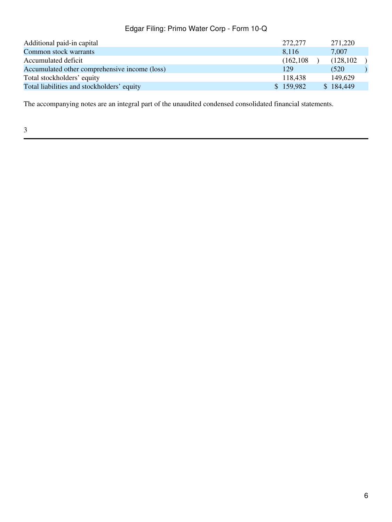| 129 |                                                        |                                                                 |
|-----|--------------------------------------------------------|-----------------------------------------------------------------|
|     |                                                        |                                                                 |
|     |                                                        |                                                                 |
|     | 272,277<br>8.116<br>(162, 108)<br>118.438<br>\$159,982 | 271,220<br>7.007<br>(128, 102)<br>(520)<br>149,629<br>\$184,449 |

The accompanying notes are an integral part of the unaudited condensed consolidated financial statements.

3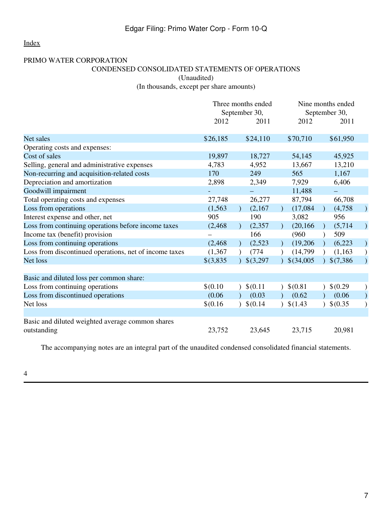# <span id="page-6-0"></span>PRIMO WATER CORPORATION

# CONDENSED CONSOLIDATED STATEMENTS OF OPERATIONS (Unaudited)

(In thousands, except per share amounts)

|                                                                 | Three months ended |              |                     | Nine months ended        |  |  |
|-----------------------------------------------------------------|--------------------|--------------|---------------------|--------------------------|--|--|
|                                                                 | September 30,      |              |                     | September 30,            |  |  |
|                                                                 | 2012               | 2011         | 2012                | 2011                     |  |  |
| Net sales                                                       | \$26,185           | \$24,110     | \$70,710            | \$61,950                 |  |  |
| Operating costs and expenses:                                   |                    |              |                     |                          |  |  |
| Cost of sales                                                   | 19,897             | 18,727       | 54,145              | 45,925                   |  |  |
| Selling, general and administrative expenses                    | 4,783              | 4,952        | 13,667              | 13,210                   |  |  |
| Non-recurring and acquisition-related costs                     | 170                | 249          | 565                 | 1,167                    |  |  |
| Depreciation and amortization                                   | 2,898              | 2,349        | 7,929               | 6,406                    |  |  |
| Goodwill impairment                                             |                    |              | 11,488              |                          |  |  |
| Total operating costs and expenses                              | 27,748             | 26,277       | 87,794              | 66,708                   |  |  |
| Loss from operations                                            | (1, 563)           | (2,167)      | (17,084)            | (4,758)<br>$\mathcal{L}$ |  |  |
| Interest expense and other, net                                 | 905                | 190          | 3,082               | 956                      |  |  |
| Loss from continuing operations before income taxes             | (2, 468)           | (2, 357)     | (20, 166)           | (5,714)<br>$\mathcal{L}$ |  |  |
| Income tax (benefit) provision                                  |                    | 166          | (960)               | 509                      |  |  |
| Loss from continuing operations                                 | (2, 468)           | (2,523)      | (19,206)            | (6,223)<br>$\mathcal{L}$ |  |  |
| Loss from discontinued operations, net of income taxes          | (1, 367)           | (774)        | (14,799)            | (1,163)                  |  |  |
| Net loss                                                        | $$$ (3,835)        | \$(3,297)    | $$$ (34,005)        | \$(7,386)                |  |  |
|                                                                 |                    |              |                     |                          |  |  |
| Basic and diluted loss per common share:                        |                    |              |                     |                          |  |  |
| Loss from continuing operations                                 | \$(0.10)           | \$(0.11)     | \$(0.81)            | \$(0.29)                 |  |  |
| Loss from discontinued operations                               | (0.06)             | (0.03)       | (0.62)              | (0.06)                   |  |  |
| Net loss                                                        | \$(0.16)           | $)$ \$(0.14) | $\frac{1}{2}(1.43)$ | $$$ (0.35)               |  |  |
|                                                                 |                    |              |                     |                          |  |  |
| Basic and diluted weighted average common shares<br>outstanding | 23,752             | 23,645       | 23,715              | 20,981                   |  |  |

The accompanying notes are an integral part of the unaudited condensed consolidated financial statements.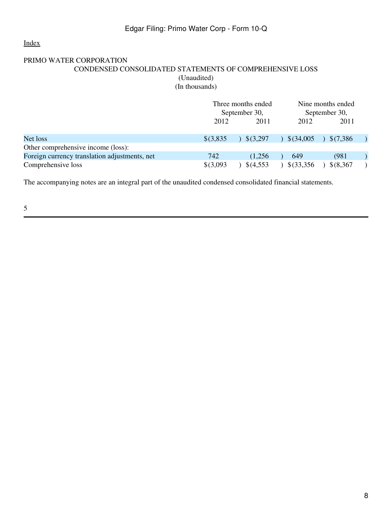# <span id="page-7-0"></span>PRIMO WATER CORPORATION CONDENSED CONSOLIDATED STATEMENTS OF COMPREHENSIVE LOSS (Unaudited)

(In thousands)

|                                               | Three months ended<br>September 30, |                    | Nine months ended<br>September 30, |            |  |
|-----------------------------------------------|-------------------------------------|--------------------|------------------------------------|------------|--|
|                                               |                                     |                    | 2012                               | 2011       |  |
|                                               | 2012                                | 2011               |                                    |            |  |
| Net loss                                      | $$$ (3,835)                         | $9\sqrt{5(3,297)}$ | \$(34,005)                         | \$(7.386   |  |
| Other comprehensive income (loss):            |                                     |                    |                                    |            |  |
| Foreign currency translation adjustments, net | 742                                 | (1.256)            | 649                                | (981)      |  |
| Comprehensive loss                            | $$$ (3,093)                         | \$(4,553)          | $$$ (33,356                        | $$$ (8,367 |  |

The accompanying notes are an integral part of the unaudited condensed consolidated financial statements.

5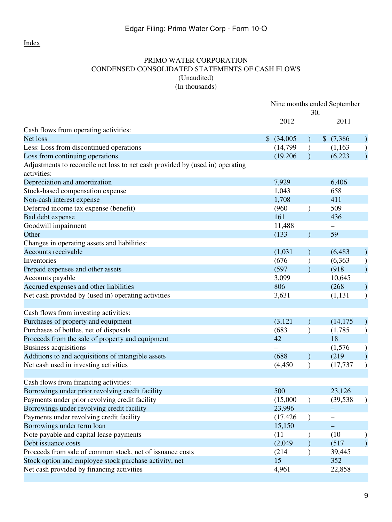## PRIMO WATER CORPORATION CONDENSED CONSOLIDATED STATEMENTS OF CASH FLOWS (Unaudited) (In thousands)

<span id="page-8-0"></span>

|                                                                               | Nine months ended September |               |                          |                        |
|-------------------------------------------------------------------------------|-----------------------------|---------------|--------------------------|------------------------|
|                                                                               |                             | 30,           |                          |                        |
|                                                                               | 2012                        |               | 2011                     |                        |
| Cash flows from operating activities:                                         |                             |               |                          |                        |
| Net loss                                                                      | \$ (34,005)                 |               | \$(7,386)                |                        |
| Less: Loss from discontinued operations                                       | (14,799)                    |               | (1,163)                  | $\mathcal{C}^{\prime}$ |
| Loss from continuing operations                                               | (19,206)                    |               | (6,223)                  |                        |
| Adjustments to reconcile net loss to net cash provided by (used in) operating |                             |               |                          |                        |
| activities:                                                                   |                             |               |                          |                        |
| Depreciation and amortization                                                 | 7,929                       |               | 6,406                    |                        |
| Stock-based compensation expense                                              | 1,043                       |               | 658                      |                        |
| Non-cash interest expense                                                     | 1,708                       |               | 411                      |                        |
| Deferred income tax expense (benefit)                                         | (960)                       | $\mathcal{E}$ | 509                      |                        |
| Bad debt expense                                                              | 161                         |               | 436                      |                        |
| Goodwill impairment                                                           | 11,488                      |               | $\overline{\phantom{0}}$ |                        |
| Other                                                                         | (133)                       |               | 59                       |                        |
| Changes in operating assets and liabilities:                                  |                             |               |                          |                        |
| Accounts receivable                                                           | (1,031)                     |               | (6, 483)                 |                        |
| Inventories                                                                   | (676)                       |               | (6, 363)                 |                        |
| Prepaid expenses and other assets                                             | (597)                       |               | (918)                    | $\mathcal{L}$          |
| Accounts payable                                                              | 3,099                       |               | 10,645                   |                        |
| Accrued expenses and other liabilities                                        | 806                         |               | (268)                    |                        |
| Net cash provided by (used in) operating activities                           | 3,631                       |               | (1, 131)                 |                        |
|                                                                               |                             |               |                          |                        |
| Cash flows from investing activities:                                         |                             |               |                          |                        |
| Purchases of property and equipment                                           | (3, 121)                    |               | (14, 175)                |                        |
| Purchases of bottles, net of disposals                                        | (683)                       | $\mathcal{E}$ | (1,785)                  |                        |
| Proceeds from the sale of property and equipment                              | 42                          |               | 18                       |                        |
| <b>Business acquisitions</b>                                                  |                             |               | (1,576)                  |                        |
| Additions to and acquisitions of intangible assets                            | (688)                       |               | (219)                    |                        |
| Net cash used in investing activities                                         | (4, 450)                    | $\mathcal{E}$ | (17, 737)                |                        |
|                                                                               |                             |               |                          |                        |
| Cash flows from financing activities:                                         |                             |               |                          |                        |
| Borrowings under prior revolving credit facility                              | 500                         |               | 23,126                   |                        |
| Payments under prior revolving credit facility                                | (15,000)                    |               | (39, 538)                |                        |
| Borrowings under revolving credit facility                                    | 23,996                      |               |                          |                        |
| Payments under revolving credit facility                                      | (17, 426)                   | $\mathcal{E}$ |                          |                        |
| Borrowings under term loan                                                    | 15,150                      |               |                          |                        |
| Note payable and capital lease payments                                       | (11)                        |               | (10)                     |                        |
| Debt issuance costs                                                           | (2,049)                     |               | (517)                    |                        |
| Proceeds from sale of common stock, net of issuance costs                     | (214)                       |               | 39,445                   |                        |
| Stock option and employee stock purchase activity, net                        | 15                          |               | 352                      |                        |
| Net cash provided by financing activities                                     | 4,961                       |               | 22,858                   |                        |
|                                                                               |                             |               |                          |                        |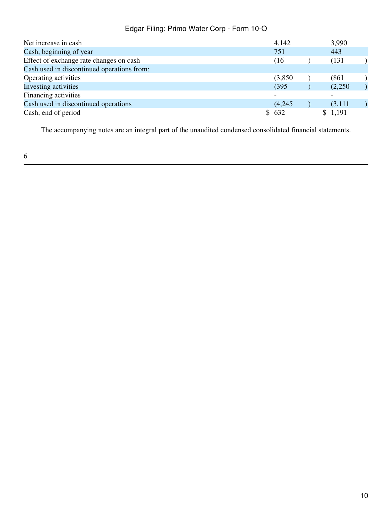| Net increase in cash                       | 4,142                    | 3,990   |  |
|--------------------------------------------|--------------------------|---------|--|
| Cash, beginning of year                    | 751                      | 443     |  |
| Effect of exchange rate changes on cash    | (16                      | (131)   |  |
| Cash used in discontinued operations from: |                          |         |  |
| Operating activities                       | (3,850)                  | (861    |  |
| Investing activities                       | (395)                    | (2,250) |  |
| Financing activities                       | $\overline{\phantom{a}}$ |         |  |
| Cash used in discontinued operations       | (4,245)                  | (3,111) |  |
| Cash, end of period                        | \$632                    | \$1,191 |  |

The accompanying notes are an integral part of the unaudited condensed consolidated financial statements.

6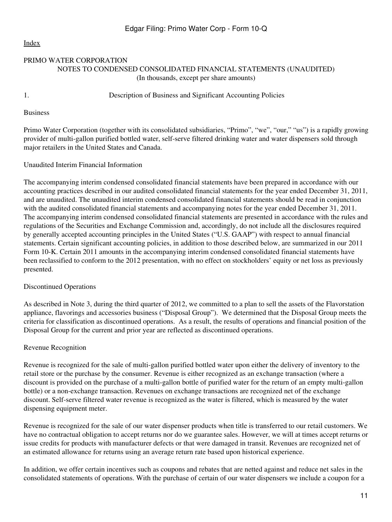## <span id="page-10-0"></span>PRIMO WATER CORPORATION NOTES TO CONDENSED CONSOLIDATED FINANCIAL STATEMENTS (UNAUDITED) (In thousands, except per share amounts)

## 1. Description of Business and Significant Accounting Policies

Business

Primo Water Corporation (together with its consolidated subsidiaries, "Primo", "we", "our," "us") is a rapidly growing provider of multi-gallon purified bottled water, self-serve filtered drinking water and water dispensers sold through major retailers in the United States and Canada.

# Unaudited Interim Financial Information

The accompanying interim condensed consolidated financial statements have been prepared in accordance with our accounting practices described in our audited consolidated financial statements for the year ended December 31, 2011, and are unaudited. The unaudited interim condensed consolidated financial statements should be read in conjunction with the audited consolidated financial statements and accompanying notes for the year ended December 31, 2011. The accompanying interim condensed consolidated financial statements are presented in accordance with the rules and regulations of the Securities and Exchange Commission and, accordingly, do not include all the disclosures required by generally accepted accounting principles in the United States ("U.S. GAAP") with respect to annual financial statements. Certain significant accounting policies, in addition to those described below, are summarized in our 2011 Form 10-K. Certain 2011 amounts in the accompanying interim condensed consolidated financial statements have been reclassified to conform to the 2012 presentation, with no effect on stockholders' equity or net loss as previously presented.

## Discontinued Operations

As described in Note 3, during the third quarter of 2012, we committed to a plan to sell the assets of the Flavorstation appliance, flavorings and accessories business ("Disposal Group"). We determined that the Disposal Group meets the criteria for classification as discontinued operations. As a result, the results of operations and financial position of the Disposal Group for the current and prior year are reflected as discontinued operations.

## Revenue Recognition

Revenue is recognized for the sale of multi-gallon purified bottled water upon either the delivery of inventory to the retail store or the purchase by the consumer. Revenue is either recognized as an exchange transaction (where a discount is provided on the purchase of a multi-gallon bottle of purified water for the return of an empty multi-gallon bottle) or a non-exchange transaction. Revenues on exchange transactions are recognized net of the exchange discount. Self-serve filtered water revenue is recognized as the water is filtered, which is measured by the water dispensing equipment meter.

Revenue is recognized for the sale of our water dispenser products when title is transferred to our retail customers. We have no contractual obligation to accept returns nor do we guarantee sales. However, we will at times accept returns or issue credits for products with manufacturer defects or that were damaged in transit. Revenues are recognized net of an estimated allowance for returns using an average return rate based upon historical experience.

In addition, we offer certain incentives such as coupons and rebates that are netted against and reduce net sales in the consolidated statements of operations. With the purchase of certain of our water dispensers we include a coupon for a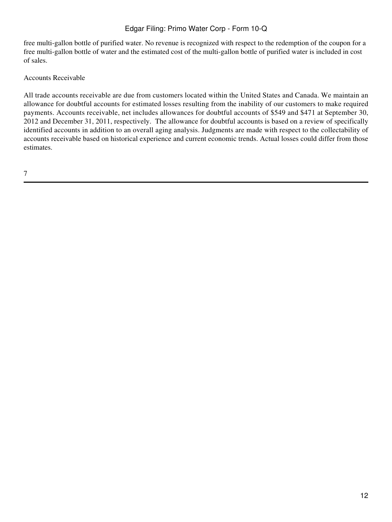free multi-gallon bottle of purified water. No revenue is recognized with respect to the redemption of the coupon for a free multi-gallon bottle of water and the estimated cost of the multi-gallon bottle of purified water is included in cost of sales.

## Accounts Receivable

All trade accounts receivable are due from customers located within the United States and Canada. We maintain an allowance for doubtful accounts for estimated losses resulting from the inability of our customers to make required payments. Accounts receivable, net includes allowances for doubtful accounts of \$549 and \$471 at September 30, 2012 and December 31, 2011, respectively. The allowance for doubtful accounts is based on a review of specifically identified accounts in addition to an overall aging analysis. Judgments are made with respect to the collectability of accounts receivable based on historical experience and current economic trends. Actual losses could differ from those estimates.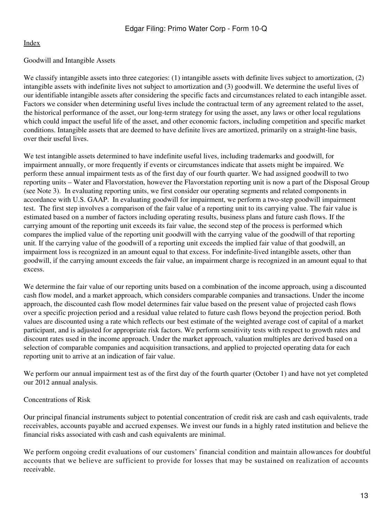## Goodwill and Intangible Assets

We classify intangible assets into three categories: (1) intangible assets with definite lives subject to amortization, (2) intangible assets with indefinite lives not subject to amortization and (3) goodwill. We determine the useful lives of our identifiable intangible assets after considering the specific facts and circumstances related to each intangible asset. Factors we consider when determining useful lives include the contractual term of any agreement related to the asset, the historical performance of the asset, our long-term strategy for using the asset, any laws or other local regulations which could impact the useful life of the asset, and other economic factors, including competition and specific market conditions. Intangible assets that are deemed to have definite lives are amortized, primarily on a straight-line basis, over their useful lives.

We test intangible assets determined to have indefinite useful lives, including trademarks and goodwill, for impairment annually, or more frequently if events or circumstances indicate that assets might be impaired. We perform these annual impairment tests as of the first day of our fourth quarter. We had assigned goodwill to two reporting units – Water and Flavorstation, however the Flavorstation reporting unit is now a part of the Disposal Group (see Note 3). In evaluating reporting units, we first consider our operating segments and related components in accordance with U.S. GAAP. In evaluating goodwill for impairment, we perform a two-step goodwill impairment test. The first step involves a comparison of the fair value of a reporting unit to its carrying value. The fair value is estimated based on a number of factors including operating results, business plans and future cash flows. If the carrying amount of the reporting unit exceeds its fair value, the second step of the process is performed which compares the implied value of the reporting unit goodwill with the carrying value of the goodwill of that reporting unit. If the carrying value of the goodwill of a reporting unit exceeds the implied fair value of that goodwill, an impairment loss is recognized in an amount equal to that excess. For indefinite-lived intangible assets, other than goodwill, if the carrying amount exceeds the fair value, an impairment charge is recognized in an amount equal to that excess.

We determine the fair value of our reporting units based on a combination of the income approach, using a discounted cash flow model, and a market approach, which considers comparable companies and transactions. Under the income approach, the discounted cash flow model determines fair value based on the present value of projected cash flows over a specific projection period and a residual value related to future cash flows beyond the projection period. Both values are discounted using a rate which reflects our best estimate of the weighted average cost of capital of a market participant, and is adjusted for appropriate risk factors. We perform sensitivity tests with respect to growth rates and discount rates used in the income approach. Under the market approach, valuation multiples are derived based on a selection of comparable companies and acquisition transactions, and applied to projected operating data for each reporting unit to arrive at an indication of fair value.

We perform our annual impairment test as of the first day of the fourth quarter (October 1) and have not yet completed our 2012 annual analysis.

### Concentrations of Risk

Our principal financial instruments subject to potential concentration of credit risk are cash and cash equivalents, trade receivables, accounts payable and accrued expenses. We invest our funds in a highly rated institution and believe the financial risks associated with cash and cash equivalents are minimal.

We perform ongoing credit evaluations of our customers' financial condition and maintain allowances for doubtful accounts that we believe are sufficient to provide for losses that may be sustained on realization of accounts receivable.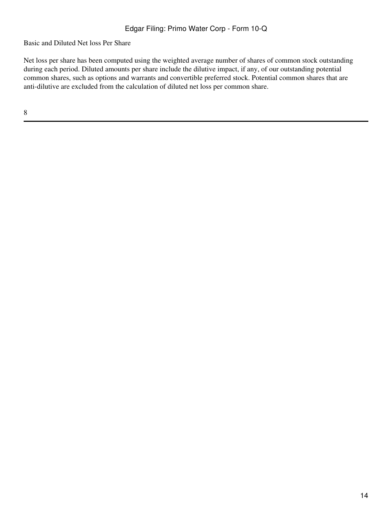Basic and Diluted Net loss Per Share

Net loss per share has been computed using the weighted average number of shares of common stock outstanding during each period. Diluted amounts per share include the dilutive impact, if any, of our outstanding potential common shares, such as options and warrants and convertible preferred stock. Potential common shares that are anti-dilutive are excluded from the calculation of diluted net loss per common share.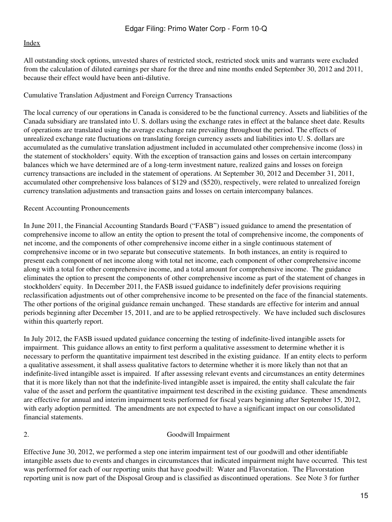All outstanding stock options, unvested shares of restricted stock, restricted stock units and warrants were excluded from the calculation of diluted earnings per share for the three and nine months ended September 30, 2012 and 2011, because their effect would have been anti-dilutive.

## Cumulative Translation Adjustment and Foreign Currency Transactions

The local currency of our operations in Canada is considered to be the functional currency. Assets and liabilities of the Canada subsidiary are translated into U. S. dollars using the exchange rates in effect at the balance sheet date. Results of operations are translated using the average exchange rate prevailing throughout the period. The effects of unrealized exchange rate fluctuations on translating foreign currency assets and liabilities into U. S. dollars are accumulated as the cumulative translation adjustment included in accumulated other comprehensive income (loss) in the statement of stockholders' equity. With the exception of transaction gains and losses on certain intercompany balances which we have determined are of a long-term investment nature, realized gains and losses on foreign currency transactions are included in the statement of operations. At September 30, 2012 and December 31, 2011, accumulated other comprehensive loss balances of \$129 and (\$520), respectively, were related to unrealized foreign currency translation adjustments and transaction gains and losses on certain intercompany balances.

# Recent Accounting Pronouncements

In June 2011, the Financial Accounting Standards Board ("FASB") issued guidance to amend the presentation of comprehensive income to allow an entity the option to present the total of comprehensive income, the components of net income, and the components of other comprehensive income either in a single continuous statement of comprehensive income or in two separate but consecutive statements. In both instances, an entity is required to present each component of net income along with total net income, each component of other comprehensive income along with a total for other comprehensive income, and a total amount for comprehensive income. The guidance eliminates the option to present the components of other comprehensive income as part of the statement of changes in stockholders' equity. In December 2011, the FASB issued guidance to indefinitely defer provisions requiring reclassification adjustments out of other comprehensive income to be presented on the face of the financial statements. The other portions of the original guidance remain unchanged. These standards are effective for interim and annual periods beginning after December 15, 2011, and are to be applied retrospectively. We have included such disclosures within this quarterly report.

In July 2012, the FASB issued updated guidance concerning the testing of indefinite-lived intangible assets for impairment. This guidance allows an entity to first perform a qualitative assessment to determine whether it is necessary to perform the quantitative impairment test described in the existing guidance. If an entity elects to perform a qualitative assessment, it shall assess qualitative factors to determine whether it is more likely than not that an indefinite-lived intangible asset is impaired. If after assessing relevant events and circumstances an entity determines that it is more likely than not that the indefinite-lived intangible asset is impaired, the entity shall calculate the fair value of the asset and perform the quantitative impairment test described in the existing guidance. These amendments are effective for annual and interim impairment tests performed for fiscal years beginning after September 15, 2012, with early adoption permitted. The amendments are not expected to have a significant impact on our consolidated financial statements.

## 2. Goodwill Impairment

Effective June 30, 2012, we performed a step one interim impairment test of our goodwill and other identifiable intangible assets due to events and changes in circumstances that indicated impairment might have occurred. This test was performed for each of our reporting units that have goodwill: Water and Flavorstation. The Flavorstation reporting unit is now part of the Disposal Group and is classified as discontinued operations. See Note 3 for further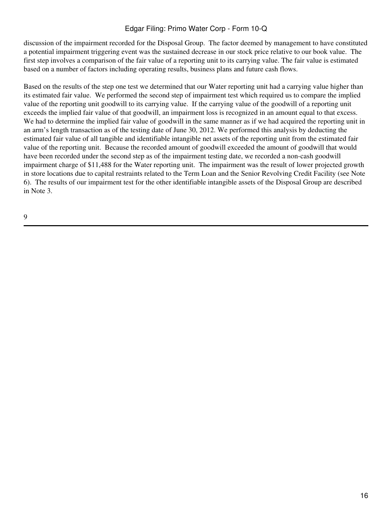discussion of the impairment recorded for the Disposal Group. The factor deemed by management to have constituted a potential impairment triggering event was the sustained decrease in our stock price relative to our book value. The first step involves a comparison of the fair value of a reporting unit to its carrying value. The fair value is estimated based on a number of factors including operating results, business plans and future cash flows.

Based on the results of the step one test we determined that our Water reporting unit had a carrying value higher than its estimated fair value. We performed the second step of impairment test which required us to compare the implied value of the reporting unit goodwill to its carrying value. If the carrying value of the goodwill of a reporting unit exceeds the implied fair value of that goodwill, an impairment loss is recognized in an amount equal to that excess. We had to determine the implied fair value of goodwill in the same manner as if we had acquired the reporting unit in an arm's length transaction as of the testing date of June 30, 2012. We performed this analysis by deducting the estimated fair value of all tangible and identifiable intangible net assets of the reporting unit from the estimated fair value of the reporting unit. Because the recorded amount of goodwill exceeded the amount of goodwill that would have been recorded under the second step as of the impairment testing date, we recorded a non-cash goodwill impairment charge of \$11,488 for the Water reporting unit. The impairment was the result of lower projected growth in store locations due to capital restraints related to the Term Loan and the Senior Revolving Credit Facility (see Note 6). The results of our impairment test for the other identifiable intangible assets of the Disposal Group are described in Note 3.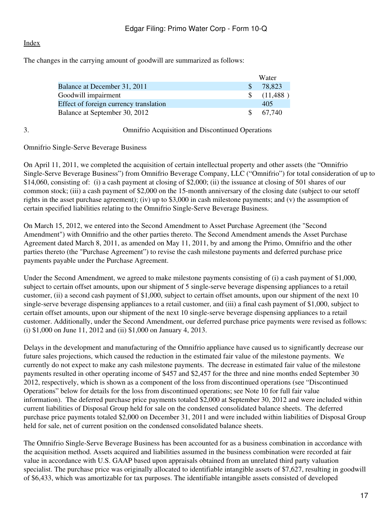The changes in the carrying amount of goodwill are summarized as follows:

|                                        | Water         |            |  |
|----------------------------------------|---------------|------------|--|
| Balance at December 31, 2011           | <sup>S</sup>  | 78.823     |  |
| Goodwill impairment                    |               | \$(11,488) |  |
| Effect of foreign currency translation |               | 405        |  |
| Balance at September 30, 2012          | $\mathcal{S}$ | 67.740     |  |

## 3. Omnifrio Acquisition and Discontinued Operations

## Omnifrio Single-Serve Beverage Business

On April 11, 2011, we completed the acquisition of certain intellectual property and other assets (the "Omnifrio Single-Serve Beverage Business") from Omnifrio Beverage Company, LLC ("Omnifrio") for total consideration of up to \$14,060, consisting of: (i) a cash payment at closing of \$2,000; (ii) the issuance at closing of 501 shares of our common stock; (iii) a cash payment of \$2,000 on the 15-month anniversary of the closing date (subject to our setoff rights in the asset purchase agreement); (iv) up to \$3,000 in cash milestone payments; and (v) the assumption of certain specified liabilities relating to the Omnifrio Single-Serve Beverage Business.

On March 15, 2012, we entered into the Second Amendment to Asset Purchase Agreement (the "Second Amendment") with Omnifrio and the other parties thereto. The Second Amendment amends the Asset Purchase Agreement dated March 8, 2011, as amended on May 11, 2011, by and among the Primo, Omnifrio and the other parties thereto (the "Purchase Agreement") to revise the cash milestone payments and deferred purchase price payments payable under the Purchase Agreement.

Under the Second Amendment, we agreed to make milestone payments consisting of (i) a cash payment of \$1,000, subject to certain offset amounts, upon our shipment of 5 single-serve beverage dispensing appliances to a retail customer, (ii) a second cash payment of \$1,000, subject to certain offset amounts, upon our shipment of the next 10 single-serve beverage dispensing appliances to a retail customer, and (iii) a final cash payment of \$1,000, subject to certain offset amounts, upon our shipment of the next 10 single-serve beverage dispensing appliances to a retail customer. Additionally, under the Second Amendment, our deferred purchase price payments were revised as follows: (i) \$1,000 on June 11, 2012 and (ii) \$1,000 on January 4, 2013.

Delays in the development and manufacturing of the Omnifrio appliance have caused us to significantly decrease our future sales projections, which caused the reduction in the estimated fair value of the milestone payments. We currently do not expect to make any cash milestone payments. The decrease in estimated fair value of the milestone payments resulted in other operating income of \$457 and \$2,457 for the three and nine months ended September 30 2012, respectively, which is shown as a component of the loss from discontinued operations (see "Discontinued Operations" below for details for the loss from discontinued operations; see Note 10 for full fair value information). The deferred purchase price payments totaled \$2,000 at September 30, 2012 and were included within current liabilities of Disposal Group held for sale on the condensed consolidated balance sheets. The deferred purchase price payments totaled \$2,000 on December 31, 2011 and were included within liabilities of Disposal Group held for sale, net of current position on the condensed consolidated balance sheets.

The Omnifrio Single-Serve Beverage Business has been accounted for as a business combination in accordance with the acquisition method. Assets acquired and liabilities assumed in the business combination were recorded at fair value in accordance with U.S. GAAP based upon appraisals obtained from an unrelated third party valuation specialist. The purchase price was originally allocated to identifiable intangible assets of \$7,627, resulting in goodwill of \$6,433, which was amortizable for tax purposes. The identifiable intangible assets consisted of developed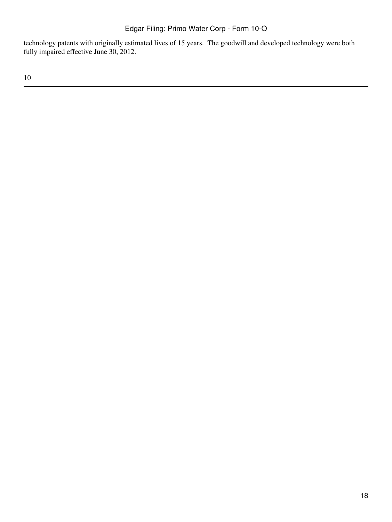technology patents with originally estimated lives of 15 years. The goodwill and developed technology were both fully impaired effective June 30, 2012.

10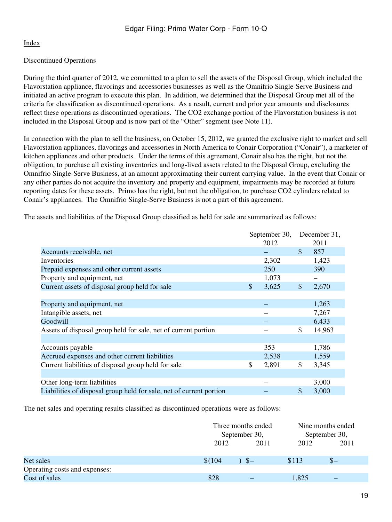# Discontinued Operations

During the third quarter of 2012, we committed to a plan to sell the assets of the Disposal Group, which included the Flavorstation appliance, flavorings and accessories businesses as well as the Omnifrio Single-Serve Business and initiated an active program to execute this plan. In addition, we determined that the Disposal Group met all of the criteria for classification as discontinued operations. As a result, current and prior year amounts and disclosures reflect these operations as discontinued operations. The CO2 exchange portion of the Flavorstation business is not included in the Disposal Group and is now part of the "Other" segment (see Note 11).

In connection with the plan to sell the business, on October 15, 2012, we granted the exclusive right to market and sell Flavorstation appliances, flavorings and accessories in North America to Conair Corporation ("Conair"), a marketer of kitchen appliances and other products. Under the terms of this agreement, Conair also has the right, but not the obligation, to purchase all existing inventories and long-lived assets related to the Disposal Group, excluding the Omnifrio Single-Serve Business, at an amount approximating their current carrying value. In the event that Conair or any other parties do not acquire the inventory and property and equipment, impairments may be recorded at future reporting dates for these assets. Primo has the right, but not the obligation, to purchase CO2 cylinders related to Conair's appliances. The Omnifrio Single-Serve Business is not a part of this agreement.

The assets and liabilities of the Disposal Group classified as held for sale are summarized as follows:

|                                                                     | September 30, | December 31, |
|---------------------------------------------------------------------|---------------|--------------|
|                                                                     | 2012          | 2011         |
| Accounts receivable, net                                            |               | \$<br>857    |
| Inventories                                                         | 2,302         | 1,423        |
| Prepaid expenses and other current assets                           | 250           | 390          |
| Property and equipment, net                                         | 1,073         |              |
| Current assets of disposal group held for sale                      | \$<br>3,625   | \$<br>2,670  |
|                                                                     |               |              |
| Property and equipment, net                                         |               | 1,263        |
| Intangible assets, net                                              |               | 7,267        |
| Goodwill                                                            |               | 6,433        |
| Assets of disposal group held for sale, net of current portion      |               | \$<br>14,963 |
|                                                                     |               |              |
| Accounts payable                                                    | 353           | 1,786        |
| Accrued expenses and other current liabilities                      | 2,538         | 1,559        |
| Current liabilities of disposal group held for sale                 | \$<br>2,891   | \$<br>3,345  |
|                                                                     |               |              |
| Other long-term liabilities                                         |               | 3,000        |
| Liabilities of disposal group held for sale, net of current portion |               | \$<br>3,000  |

The net sales and operating results classified as discontinued operations were as follows:

|                               | Three months ended<br>September 30, |      |       | Nine months ended<br>September 30, |
|-------------------------------|-------------------------------------|------|-------|------------------------------------|
|                               | 2012                                | 2011 | 2012  | 2011                               |
| Net sales                     | \$(104)                             | $S-$ | \$113 | $S-$                               |
| Operating costs and expenses: |                                     |      |       |                                    |
| Cost of sales                 | 828                                 |      | 1,825 |                                    |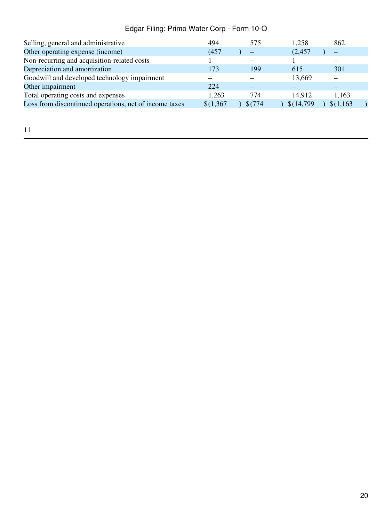| Selling, general and administrative                    | 494       | 575     | 1,258      | 862       |  |
|--------------------------------------------------------|-----------|---------|------------|-----------|--|
| Other operating expense (income)                       | (457      |         | (2, 457)   |           |  |
| Non-recurring and acquisition-related costs            |           |         |            |           |  |
| Depreciation and amortization                          | 173       | 199     | 615        | 301       |  |
| Goodwill and developed technology impairment           |           |         | 13,669     |           |  |
| Other impairment                                       | 224       |         |            |           |  |
| Total operating costs and expenses                     | 1,263     | 774     | 14,912     | 1,163     |  |
| Loss from discontinued operations, net of income taxes | \$(1,367) | \$(774) | \$(14,799) | \$(1,163) |  |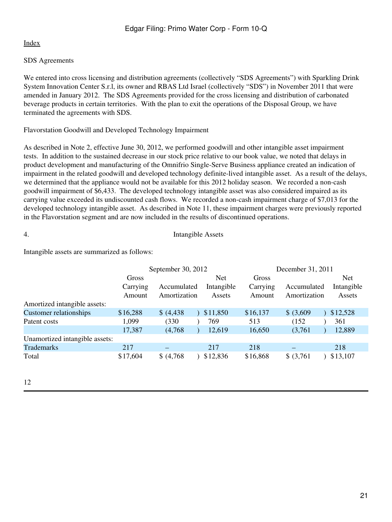# SDS Agreements

We entered into cross licensing and distribution agreements (collectively "SDS Agreements") with Sparkling Drink System Innovation Center S.r.l, its owner and RBAS Ltd Israel (collectively "SDS") in November 2011 that were amended in January 2012. The SDS Agreements provided for the cross licensing and distribution of carbonated beverage products in certain territories. With the plan to exit the operations of the Disposal Group, we have terminated the agreements with SDS.

# Flavorstation Goodwill and Developed Technology Impairment

As described in Note 2, effective June 30, 2012, we performed goodwill and other intangible asset impairment tests. In addition to the sustained decrease in our stock price relative to our book value, we noted that delays in product development and manufacturing of the Omnifrio Single-Serve Business appliance created an indication of impairment in the related goodwill and developed technology definite-lived intangible asset. As a result of the delays, we determined that the appliance would not be available for this 2012 holiday season. We recorded a non-cash goodwill impairment of \$6,433. The developed technology intangible asset was also considered impaired as its carrying value exceeded its undiscounted cash flows. We recorded a non-cash impairment charge of \$7,013 for the developed technology intangible asset. As described in Note 11, these impairment charges were previously reported in the Flavorstation segment and are now included in the results of discontinued operations.

## 4. Intangible Assets

Intangible assets are summarized as follows:

|                                |                    | September 30, 2012          |                      | December 31, 2011  |                             |                      |
|--------------------------------|--------------------|-----------------------------|----------------------|--------------------|-----------------------------|----------------------|
|                                | Gross              |                             | <b>Net</b>           | Gross              |                             | <b>Net</b>           |
|                                | Carrying<br>Amount | Accumulated<br>Amortization | Intangible<br>Assets | Carrying<br>Amount | Accumulated<br>Amortization | Intangible<br>Assets |
| Amortized intangible assets:   |                    |                             |                      |                    |                             |                      |
| <b>Customer relationships</b>  | \$16,288           | \$ (4,438)                  | \$11,850             | \$16,137           | \$ (3,609)                  | \$12,528             |
| Patent costs                   | 1,099              | (330)                       | 769                  | 513                | (152)                       | 361                  |
|                                | 17,387             | (4,768)                     | 12,619               | 16,650             | (3,761)                     | 12,889               |
| Unamortized intangible assets: |                    |                             |                      |                    |                             |                      |
| <b>Trademarks</b>              | 217                |                             | 217                  | 218                |                             | 218                  |
| Total                          | \$17,604           | \$ (4,768)                  | \$12,836             | \$16,868           | \$ (3,761)                  | \$13,107             |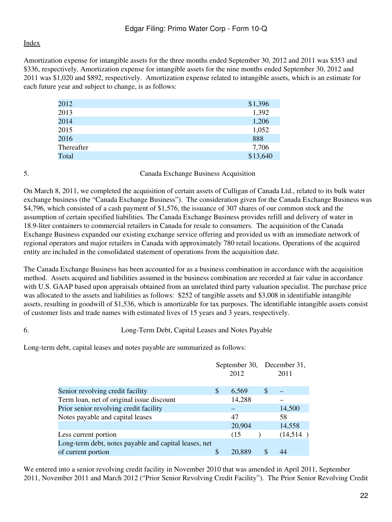Amortization expense for intangible assets for the three months ended September 30, 2012 and 2011 was \$353 and \$336, respectively. Amortization expense for intangible assets for the nine months ended September 30, 2012 and 2011 was \$1,020 and \$892, respectively. Amortization expense related to intangible assets, which is an estimate for each future year and subject to change, is as follows:

| 2012       | \$1,396  |
|------------|----------|
| 2013       | 1,392    |
| 2014       | 1,206    |
| 2015       | 1,052    |
| 2016       | 888      |
| Thereafter | 7,706    |
| Total      | \$13,640 |

5. Canada Exchange Business Acquisition

On March 8, 2011, we completed the acquisition of certain assets of Culligan of Canada Ltd., related to its bulk water exchange business (the "Canada Exchange Business"). The consideration given for the Canada Exchange Business was \$4,796, which consisted of a cash payment of \$1,576, the issuance of 307 shares of our common stock and the assumption of certain specified liabilities. The Canada Exchange Business provides refill and delivery of water in 18.9-liter containers to commercial retailers in Canada for resale to consumers. The acquisition of the Canada Exchange Business expanded our existing exchange service offering and provided us with an immediate network of regional operators and major retailers in Canada with approximately 780 retail locations. Operations of the acquired entity are included in the consolidated statement of operations from the acquisition date.

The Canada Exchange Business has been accounted for as a business combination in accordance with the acquisition method. Assets acquired and liabilities assumed in the business combination are recorded at fair value in accordance with U.S. GAAP based upon appraisals obtained from an unrelated third party valuation specialist. The purchase price was allocated to the assets and liabilities as follows: \$252 of tangible assets and \$3,008 in identifiable intangible assets, resulting in goodwill of \$1,536, which is amortizable for tax purposes. The identifiable intangible assets consist of customer lists and trade names with estimated lives of 15 years and 3 years, respectively.

6. Long-Term Debt, Capital Leases and Notes Payable

Long-term debt, capital leases and notes payable are summarized as follows:

|                                                       |               | 2012   |   | September 30, December 31,<br>2011 |
|-------------------------------------------------------|---------------|--------|---|------------------------------------|
| Senior revolving credit facility                      | <sup>\$</sup> | 6,569  | S |                                    |
| Term loan, net of original issue discount             |               | 14,288 |   |                                    |
| Prior senior revolving credit facility                |               |        |   | 14,500                             |
| Notes payable and capital leases                      |               | 47     |   | 58                                 |
|                                                       |               | 20,904 |   | 14,558                             |
| Less current portion                                  |               | (15    |   | (14,514)                           |
| Long-term debt, notes payable and capital leases, net |               |        |   |                                    |
| of current portion                                    |               | 20,889 | S | 44                                 |

We entered into a senior revolving credit facility in November 2010 that was amended in April 2011, September 2011, November 2011 and March 2012 ("Prior Senior Revolving Credit Facility"). The Prior Senior Revolving Credit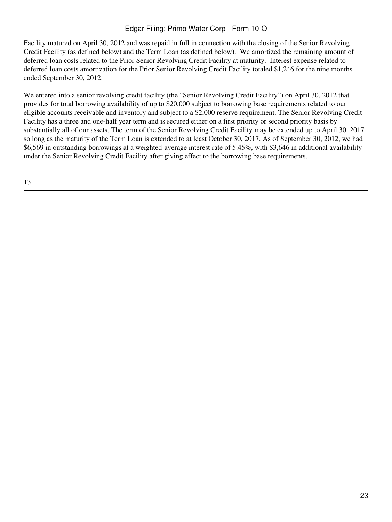Facility matured on April 30, 2012 and was repaid in full in connection with the closing of the Senior Revolving Credit Facility (as defined below) and the Term Loan (as defined below). We amortized the remaining amount of deferred loan costs related to the Prior Senior Revolving Credit Facility at maturity. Interest expense related to deferred loan costs amortization for the Prior Senior Revolving Credit Facility totaled \$1,246 for the nine months ended September 30, 2012.

We entered into a senior revolving credit facility (the "Senior Revolving Credit Facility") on April 30, 2012 that provides for total borrowing availability of up to \$20,000 subject to borrowing base requirements related to our eligible accounts receivable and inventory and subject to a \$2,000 reserve requirement. The Senior Revolving Credit Facility has a three and one-half year term and is secured either on a first priority or second priority basis by substantially all of our assets. The term of the Senior Revolving Credit Facility may be extended up to April 30, 2017 so long as the maturity of the Term Loan is extended to at least October 30, 2017. As of September 30, 2012, we had \$6,569 in outstanding borrowings at a weighted-average interest rate of 5.45%, with \$3,646 in additional availability under the Senior Revolving Credit Facility after giving effect to the borrowing base requirements.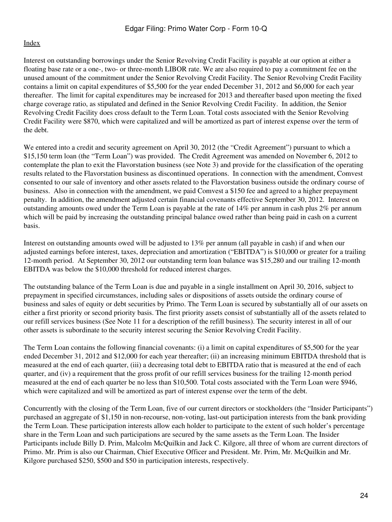Interest on outstanding borrowings under the Senior Revolving Credit Facility is payable at our option at either a floating base rate or a one-, two- or three-month LIBOR rate. We are also required to pay a commitment fee on the unused amount of the commitment under the Senior Revolving Credit Facility. The Senior Revolving Credit Facility contains a limit on capital expenditures of \$5,500 for the year ended December 31, 2012 and \$6,000 for each year thereafter. The limit for capital expenditures may be increased for 2013 and thereafter based upon meeting the fixed charge coverage ratio, as stipulated and defined in the Senior Revolving Credit Facility. In addition, the Senior Revolving Credit Facility does cross default to the Term Loan. Total costs associated with the Senior Revolving Credit Facility were \$870, which were capitalized and will be amortized as part of interest expense over the term of the debt.

We entered into a credit and security agreement on April 30, 2012 (the "Credit Agreement") pursuant to which a \$15,150 term loan (the "Term Loan") was provided. The Credit Agreement was amended on November 6, 2012 to contemplate the plan to exit the Flavorstation business (see Note 3) and provide for the classification of the operating results related to the Flavorstation business as discontinued operations. In connection with the amendment, Comvest consented to our sale of inventory and other assets related to the Flavorstation business outside the ordinary course of business. Also in connection with the amendment, we paid Comvest a \$150 fee and agreed to a higher prepayment penalty. In addition, the amendment adjusted certain financial covenants effective September 30, 2012. Interest on outstanding amounts owed under the Term Loan is payable at the rate of 14% per annum in cash plus 2% per annum which will be paid by increasing the outstanding principal balance owed rather than being paid in cash on a current basis.

Interest on outstanding amounts owed will be adjusted to 13% per annum (all payable in cash) if and when our adjusted earnings before interest, taxes, depreciation and amortization ("EBITDA") is \$10,000 or greater for a trailing 12-month period. At September 30, 2012 our outstanding term loan balance was \$15,280 and our trailing 12-month EBITDA was below the \$10,000 threshold for reduced interest charges.

The outstanding balance of the Term Loan is due and payable in a single installment on April 30, 2016, subject to prepayment in specified circumstances, including sales or dispositions of assets outside the ordinary course of business and sales of equity or debt securities by Primo. The Term Loan is secured by substantially all of our assets on either a first priority or second priority basis. The first priority assets consist of substantially all of the assets related to our refill services business (See Note 11 for a description of the refill business). The security interest in all of our other assets is subordinate to the security interest securing the Senior Revolving Credit Facility.

The Term Loan contains the following financial covenants: (i) a limit on capital expenditures of \$5,500 for the year ended December 31, 2012 and \$12,000 for each year thereafter; (ii) an increasing minimum EBITDA threshold that is measured at the end of each quarter, (iii) a decreasing total debt to EBITDA ratio that is measured at the end of each quarter, and (iv) a requirement that the gross profit of our refill services business for the trailing 12-month period measured at the end of each quarter be no less than \$10,500. Total costs associated with the Term Loan were \$946, which were capitalized and will be amortized as part of interest expense over the term of the debt.

Concurrently with the closing of the Term Loan, five of our current directors or stockholders (the "Insider Participants") purchased an aggregate of \$1,150 in non-recourse, non-voting, last-out participation interests from the bank providing the Term Loan. These participation interests allow each holder to participate to the extent of such holder's percentage share in the Term Loan and such participations are secured by the same assets as the Term Loan. The Insider Participants include Billy D. Prim, Malcolm McQuilkin and Jack C. Kilgore, all three of whom are current directors of Primo. Mr. Prim is also our Chairman, Chief Executive Officer and President. Mr. Prim, Mr. McQuilkin and Mr. Kilgore purchased \$250, \$500 and \$50 in participation interests, respectively.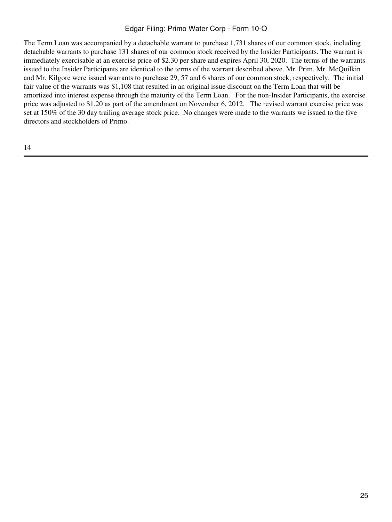The Term Loan was accompanied by a detachable warrant to purchase 1,731 shares of our common stock, including detachable warrants to purchase 131 shares of our common stock received by the Insider Participants. The warrant is immediately exercisable at an exercise price of \$2.30 per share and expires April 30, 2020. The terms of the warrants issued to the Insider Participants are identical to the terms of the warrant described above. Mr. Prim, Mr. McQuilkin and Mr. Kilgore were issued warrants to purchase 29, 57 and 6 shares of our common stock, respectively. The initial fair value of the warrants was \$1,108 that resulted in an original issue discount on the Term Loan that will be amortized into interest expense through the maturity of the Term Loan. For the non-Insider Participants, the exercise price was adjusted to \$1.20 as part of the amendment on November 6, 2012. The revised warrant exercise price was set at 150% of the 30 day trailing average stock price. No changes were made to the warrants we issued to the five directors and stockholders of Primo.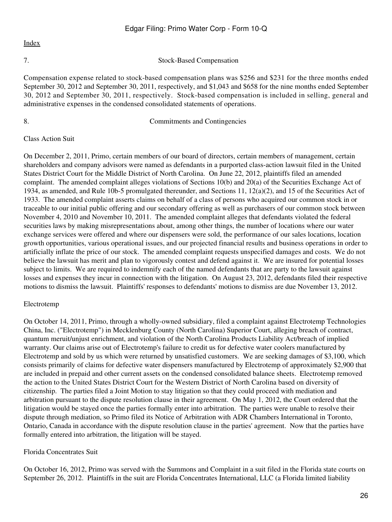7. Stock-Based Compensation

Compensation expense related to stock-based compensation plans was \$256 and \$231 for the three months ended September 30, 2012 and September 30, 2011, respectively, and \$1,043 and \$658 for the nine months ended September 30, 2012 and September 30, 2011, respectively. Stock-based compensation is included in selling, general and administrative expenses in the condensed consolidated statements of operations.

## 8. Commitments and Contingencies

## Class Action Suit

On December 2, 2011, Primo, certain members of our board of directors, certain members of management, certain shareholders and company advisors were named as defendants in a purported class-action lawsuit filed in the United States District Court for the Middle District of North Carolina. On June 22, 2012, plaintiffs filed an amended complaint. The amended complaint alleges violations of Sections 10(b) and 20(a) of the Securities Exchange Act of 1934, as amended, and Rule 10b-5 promulgated thereunder, and Sections 11, 12(a)(2), and 15 of the Securities Act of 1933. The amended complaint asserts claims on behalf of a class of persons who acquired our common stock in or traceable to our initial public offering and our secondary offering as well as purchasers of our common stock between November 4, 2010 and November 10, 2011. The amended complaint alleges that defendants violated the federal securities laws by making misrepresentations about, among other things, the number of locations where our water exchange services were offered and where our dispensers were sold, the performance of our sales locations, location growth opportunities, various operational issues, and our projected financial results and business operations in order to artificially inflate the price of our stock. The amended complaint requests unspecified damages and costs. We do not believe the lawsuit has merit and plan to vigorously contest and defend against it. We are insured for potential losses subject to limits. We are required to indemnify each of the named defendants that are party to the lawsuit against losses and expenses they incur in connection with the litigation. On August 23, 2012, defendants filed their respective motions to dismiss the lawsuit. Plaintiffs' responses to defendants' motions to dismiss are due November 13, 2012.

## Electrotemp

On October 14, 2011, Primo, through a wholly-owned subsidiary, filed a complaint against Electrotemp Technologies China, Inc. ("Electrotemp") in Mecklenburg County (North Carolina) Superior Court, alleging breach of contract, quantum meruit/unjust enrichment, and violation of the North Carolina Products Liability Act/breach of implied warranty. Our claims arise out of Electrotemp's failure to credit us for defective water coolers manufactured by Electrotemp and sold by us which were returned by unsatisfied customers. We are seeking damages of \$3,100, which consists primarily of claims for defective water dispensers manufactured by Electrotemp of approximately \$2,900 that are included in prepaid and other current assets on the condensed consolidated balance sheets. Electrotemp removed the action to the United States District Court for the Western District of North Carolina based on diversity of citizenship. The parties filed a Joint Motion to stay litigation so that they could proceed with mediation and arbitration pursuant to the dispute resolution clause in their agreement. On May 1, 2012, the Court ordered that the litigation would be stayed once the parties formally enter into arbitration. The parties were unable to resolve their dispute through mediation, so Primo filed its Notice of Arbitration with ADR Chambers International in Toronto, Ontario, Canada in accordance with the dispute resolution clause in the parties' agreement. Now that the parties have formally entered into arbitration, the litigation will be stayed.

## Florida Concentrates Suit

On October 16, 2012, Primo was served with the Summons and Complaint in a suit filed in the Florida state courts on September 26, 2012. Plaintiffs in the suit are Florida Concentrates International, LLC (a Florida limited liability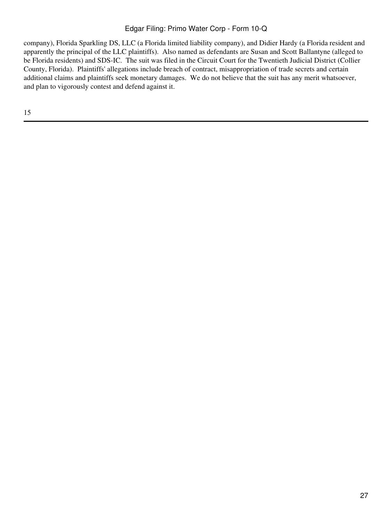company), Florida Sparkling DS, LLC (a Florida limited liability company), and Didier Hardy (a Florida resident and apparently the principal of the LLC plaintiffs). Also named as defendants are Susan and Scott Ballantyne (alleged to be Florida residents) and SDS-IC. The suit was filed in the Circuit Court for the Twentieth Judicial District (Collier County, Florida). Plaintiffs' allegations include breach of contract, misappropriation of trade secrets and certain additional claims and plaintiffs seek monetary damages. We do not believe that the suit has any merit whatsoever, and plan to vigorously contest and defend against it.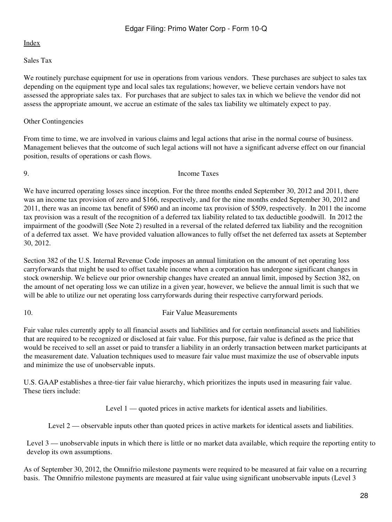## Sales Tax

We routinely purchase equipment for use in operations from various vendors. These purchases are subject to sales tax depending on the equipment type and local sales tax regulations; however, we believe certain vendors have not assessed the appropriate sales tax. For purchases that are subject to sales tax in which we believe the vendor did not assess the appropriate amount, we accrue an estimate of the sales tax liability we ultimately expect to pay.

## Other Contingencies

From time to time, we are involved in various claims and legal actions that arise in the normal course of business. Management believes that the outcome of such legal actions will not have a significant adverse effect on our financial position, results of operations or cash flows.

### 9. Income Taxes

We have incurred operating losses since inception. For the three months ended September 30, 2012 and 2011, there was an income tax provision of zero and \$166, respectively, and for the nine months ended September 30, 2012 and 2011, there was an income tax benefit of \$960 and an income tax provision of \$509, respectively. In 2011 the income tax provision was a result of the recognition of a deferred tax liability related to tax deductible goodwill. In 2012 the impairment of the goodwill (See Note 2) resulted in a reversal of the related deferred tax liability and the recognition of a deferred tax asset. We have provided valuation allowances to fully offset the net deferred tax assets at September 30, 2012.

Section 382 of the U.S. Internal Revenue Code imposes an annual limitation on the amount of net operating loss carryforwards that might be used to offset taxable income when a corporation has undergone significant changes in stock ownership. We believe our prior ownership changes have created an annual limit, imposed by Section 382, on the amount of net operating loss we can utilize in a given year, however, we believe the annual limit is such that we will be able to utilize our net operating loss carryforwards during their respective carryforward periods.

# 10. Fair Value Measurements

Fair value rules currently apply to all financial assets and liabilities and for certain nonfinancial assets and liabilities that are required to be recognized or disclosed at fair value. For this purpose, fair value is defined as the price that would be received to sell an asset or paid to transfer a liability in an orderly transaction between market participants at the measurement date. Valuation techniques used to measure fair value must maximize the use of observable inputs and minimize the use of unobservable inputs.

U.S. GAAP establishes a three-tier fair value hierarchy, which prioritizes the inputs used in measuring fair value. These tiers include:

Level 1 — quoted prices in active markets for identical assets and liabilities.

Level 2 — observable inputs other than quoted prices in active markets for identical assets and liabilities.

Level 3 — unobservable inputs in which there is little or no market data available, which require the reporting entity to develop its own assumptions.

As of September 30, 2012, the Omnifrio milestone payments were required to be measured at fair value on a recurring basis. The Omnifrio milestone payments are measured at fair value using significant unobservable inputs (Level 3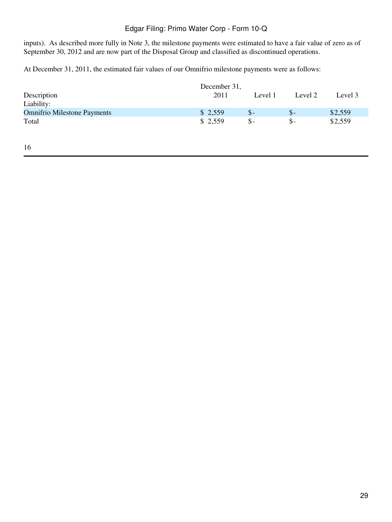inputs). As described more fully in Note 3, the milestone payments were estimated to have a fair value of zero as of September 30, 2012 and are now part of the Disposal Group and classified as discontinued operations.

At December 31, 2011, the estimated fair values of our Omnifrio milestone payments were as follows:

|                                    | December 31, |                 |                 |         |
|------------------------------------|--------------|-----------------|-----------------|---------|
| Description                        | 2011         | Level 1         | Level 2         | Level 3 |
| Liability:                         |              |                 |                 |         |
| <b>Omnifrio Milestone Payments</b> | \$2,559      | $\mathcal{S}$ - | $\mathsf{\$}$ - | \$2,559 |
| Total                              | \$2,559      | $S-$            | $S-$            | \$2,559 |
|                                    |              |                 |                 |         |

16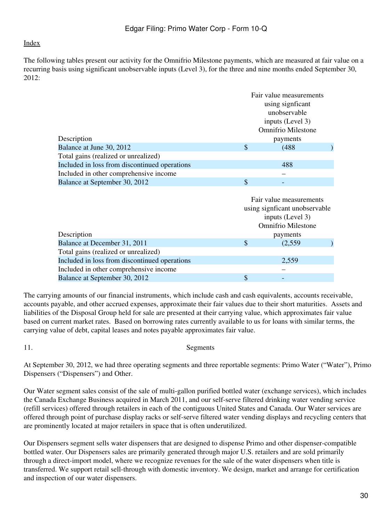The following tables present our activity for the Omnifrio Milestone payments, which are measured at fair value on a recurring basis using significant unobservable inputs (Level 3), for the three and nine months ended September 30, 2012:

|                                               |                  | Fair value measurements   |  |  |
|-----------------------------------------------|------------------|---------------------------|--|--|
|                                               | using signficant |                           |  |  |
|                                               | unobservable     |                           |  |  |
|                                               |                  | inputs (Level 3)          |  |  |
|                                               |                  | <b>Omnifrio Milestone</b> |  |  |
| Description                                   |                  | payments                  |  |  |
| Balance at June 30, 2012                      | \$               | (488)                     |  |  |
| Total gains (realized or unrealized)          |                  |                           |  |  |
| Included in loss from discontinued operations |                  | 488                       |  |  |
| Included in other comprehensive income        |                  |                           |  |  |
| Balance at September 30, 2012                 | S                |                           |  |  |

|                                               | Fair value measurements<br>using significant unobservable<br>inputs (Level 3)<br><b>Omnifrio Milestone</b> |          |  |
|-----------------------------------------------|------------------------------------------------------------------------------------------------------------|----------|--|
| Description                                   |                                                                                                            | payments |  |
| Balance at December 31, 2011                  | S                                                                                                          | (2,559)  |  |
| Total gains (realized or unrealized)          |                                                                                                            |          |  |
| Included in loss from discontinued operations |                                                                                                            | 2,559    |  |
| Included in other comprehensive income        |                                                                                                            |          |  |
| Balance at September 30, 2012                 | \$                                                                                                         | -        |  |

The carrying amounts of our financial instruments, which include cash and cash equivalents, accounts receivable, accounts payable, and other accrued expenses, approximate their fair values due to their short maturities. Assets and liabilities of the Disposal Group held for sale are presented at their carrying value, which approximates fair value based on current market rates. Based on borrowing rates currently available to us for loans with similar terms, the carrying value of debt, capital leases and notes payable approximates fair value.

11. Segments

At September 30, 2012, we had three operating segments and three reportable segments: Primo Water ("Water"), Primo Dispensers ("Dispensers") and Other.

Our Water segment sales consist of the sale of multi-gallon purified bottled water (exchange services), which includes the Canada Exchange Business acquired in March 2011, and our self-serve filtered drinking water vending service (refill services) offered through retailers in each of the contiguous United States and Canada. Our Water services are offered through point of purchase display racks or self-serve filtered water vending displays and recycling centers that are prominently located at major retailers in space that is often underutilized.

Our Dispensers segment sells water dispensers that are designed to dispense Primo and other dispenser-compatible bottled water. Our Dispensers sales are primarily generated through major U.S. retailers and are sold primarily through a direct-import model, where we recognize revenues for the sale of the water dispensers when title is transferred. We support retail sell-through with domestic inventory. We design, market and arrange for certification and inspection of our water dispensers.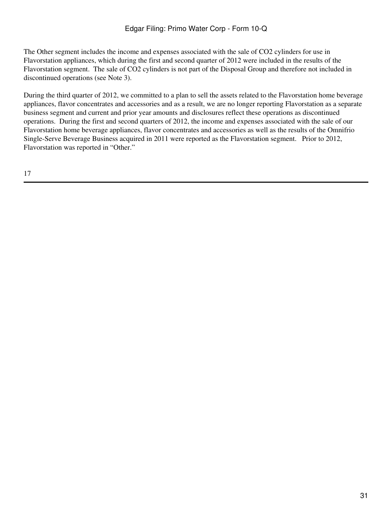The Other segment includes the income and expenses associated with the sale of CO2 cylinders for use in Flavorstation appliances, which during the first and second quarter of 2012 were included in the results of the Flavorstation segment. The sale of CO2 cylinders is not part of the Disposal Group and therefore not included in discontinued operations (see Note 3).

During the third quarter of 2012, we committed to a plan to sell the assets related to the Flavorstation home beverage appliances, flavor concentrates and accessories and as a result, we are no longer reporting Flavorstation as a separate business segment and current and prior year amounts and disclosures reflect these operations as discontinued operations. During the first and second quarters of 2012, the income and expenses associated with the sale of our Flavorstation home beverage appliances, flavor concentrates and accessories as well as the results of the Omnifrio Single-Serve Beverage Business acquired in 2011 were reported as the Flavorstation segment. Prior to 2012, Flavorstation was reported in "Other."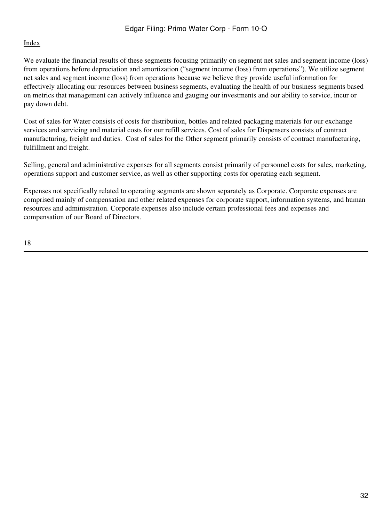We evaluate the financial results of these segments focusing primarily on segment net sales and segment income (loss) from operations before depreciation and amortization ("segment income (loss) from operations"). We utilize segment net sales and segment income (loss) from operations because we believe they provide useful information for effectively allocating our resources between business segments, evaluating the health of our business segments based on metrics that management can actively influence and gauging our investments and our ability to service, incur or pay down debt.

Cost of sales for Water consists of costs for distribution, bottles and related packaging materials for our exchange services and servicing and material costs for our refill services. Cost of sales for Dispensers consists of contract manufacturing, freight and duties. Cost of sales for the Other segment primarily consists of contract manufacturing, fulfillment and freight.

Selling, general and administrative expenses for all segments consist primarily of personnel costs for sales, marketing, operations support and customer service, as well as other supporting costs for operating each segment.

Expenses not specifically related to operating segments are shown separately as Corporate. Corporate expenses are comprised mainly of compensation and other related expenses for corporate support, information systems, and human resources and administration. Corporate expenses also include certain professional fees and expenses and compensation of our Board of Directors.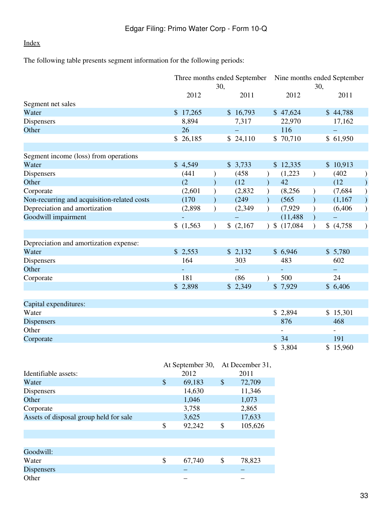The following table presents segment information for the following periods:

|                                             |                  | 30,                       | Three months ended September Nine months ended September |               |                   | 30,           |                          |               |
|---------------------------------------------|------------------|---------------------------|----------------------------------------------------------|---------------|-------------------|---------------|--------------------------|---------------|
|                                             | 2012             |                           | 2011                                                     |               | 2012              |               | 2011                     |               |
| Segment net sales                           |                  |                           |                                                          |               |                   |               |                          |               |
| Water                                       | \$17,265         |                           | \$16,793                                                 |               | \$47,624          |               | \$44,788                 |               |
| Dispensers                                  | 8,894            |                           | 7,317                                                    |               | 22,970            |               | 17,162                   |               |
| Other                                       | 26               |                           | $\equiv$                                                 |               | 116               |               | $\equiv$                 |               |
|                                             | \$26,185         |                           | \$24,110                                                 |               | \$70,710          |               | \$61,950                 |               |
|                                             |                  |                           |                                                          |               |                   |               |                          |               |
| Segment income (loss) from operations       |                  |                           |                                                          |               |                   |               |                          |               |
| Water                                       | \$4,549          |                           | \$3,733                                                  |               | \$12,335          |               | \$10,913                 |               |
| Dispensers                                  | (441)            | $\mathcal{E}$             | (458)                                                    | $\mathcal{L}$ | (1,223)           | $\mathcal{L}$ | (402)                    | $\mathcal{E}$ |
| Other                                       | (2)              | $\lambda$                 | (12)                                                     | $\lambda$     | 42                |               | (12)                     | $\mathcal{E}$ |
| Corporate                                   | (2,601)          |                           | (2,832)                                                  |               | (8,256)           | $\mathcal{E}$ | (7,684)                  | $\mathcal{L}$ |
| Non-recurring and acquisition-related costs | (170)            |                           | (249)                                                    |               | (565)             | $\lambda$     | (1,167)                  | $\mathcal{L}$ |
| Depreciation and amortization               | (2,898)          | $\mathcal{E}$             | (2,349)                                                  | $\lambda$     | (7,929)           | $\mathcal{E}$ | (6, 406)                 | $\mathcal{L}$ |
| Goodwill impairment                         | $\blacksquare$   |                           |                                                          |               | (11, 488)         | $\lambda$     | $\overline{\phantom{0}}$ |               |
|                                             | \$(1,563)        | $\mathcal{E}$             | \$(2,167)                                                |               | $)$ \$ $(17,084)$ | $\mathcal{L}$ | \$(4,758)                | $\mathcal{E}$ |
|                                             |                  |                           |                                                          |               |                   |               |                          |               |
| Depreciation and amortization expense:      |                  |                           |                                                          |               |                   |               |                          |               |
| Water                                       | \$2,553          |                           | \$2,132                                                  |               | \$6,946           |               | \$5,780                  |               |
| Dispensers                                  | 164              |                           | 303                                                      |               | 483               |               | 602                      |               |
| Other                                       |                  |                           |                                                          |               |                   |               |                          |               |
| Corporate                                   | 181              |                           | (86)                                                     | $\lambda$     | 500               |               | 24                       |               |
|                                             | \$2,898          |                           | \$2,349                                                  |               | \$7,929           |               | \$6,406                  |               |
|                                             |                  |                           |                                                          |               |                   |               |                          |               |
| Capital expenditures:<br>Water              |                  |                           |                                                          |               |                   |               |                          |               |
|                                             |                  |                           |                                                          |               | \$2,894<br>876    |               | \$15,301<br>468          |               |
| <b>Dispensers</b>                           |                  |                           |                                                          |               |                   |               |                          |               |
| Other                                       |                  |                           |                                                          |               |                   |               |                          |               |
| Corporate                                   |                  |                           |                                                          |               | 34                |               | 191                      |               |
|                                             |                  |                           |                                                          |               | \$3,804           |               | \$15,960                 |               |
|                                             | At September 30, |                           | At December 31,                                          |               |                   |               |                          |               |
| Identifiable assets:                        | 2012             |                           | 2011                                                     |               |                   |               |                          |               |
| Water                                       | \$<br>69,183     | $\boldsymbol{\mathsf{S}}$ | 72,709                                                   |               |                   |               |                          |               |

| .                                      | ≁  | 0, 100 | ↩  | $1 - 1 - 1 - 1$ |
|----------------------------------------|----|--------|----|-----------------|
| Dispensers                             |    | 14,630 |    | 11,346          |
| Other                                  |    | 1,046  |    | 1,073           |
| Corporate                              |    | 3,758  |    | 2,865           |
| Assets of disposal group held for sale |    | 3,625  |    | 17,633          |
|                                        | \$ | 92,242 | \$ | 105,626         |
|                                        |    |        |    |                 |
|                                        |    |        |    |                 |
| Goodwill:                              |    |        |    |                 |
| Water                                  | \$ | 67,740 | \$ | 78,823          |
| <b>Dispensers</b>                      |    |        |    |                 |
| Other                                  |    |        |    |                 |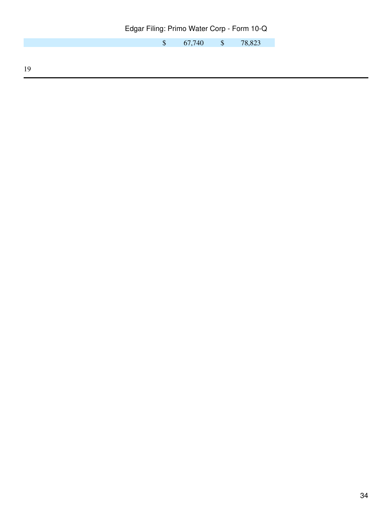\$ 67,740 \$ 78,823

19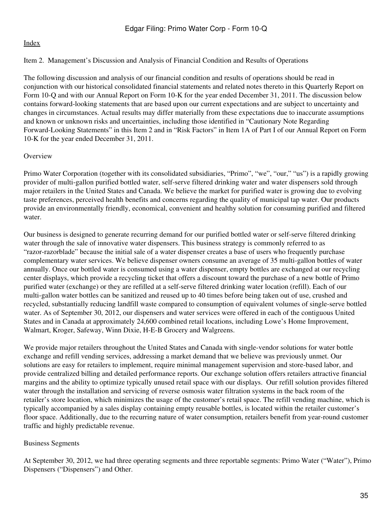# <span id="page-34-0"></span>Item 2. Management's Discussion and Analysis of Financial Condition and Results of Operations

The following discussion and analysis of our financial condition and results of operations should be read in conjunction with our historical consolidated financial statements and related notes thereto in this Quarterly Report on Form 10-Q and with our Annual Report on Form 10-K for the year ended December 31, 2011. The discussion below contains forward-looking statements that are based upon our current expectations and are subject to uncertainty and changes in circumstances. Actual results may differ materially from these expectations due to inaccurate assumptions and known or unknown risks and uncertainties, including those identified in "Cautionary Note Regarding Forward-Looking Statements" in this Item 2 and in "Risk Factors" in Item 1A of Part I of our Annual Report on Form 10-K for the year ended December 31, 2011.

# **Overview**

Primo Water Corporation (together with its consolidated subsidiaries, "Primo", "we", "our," "us") is a rapidly growing provider of multi-gallon purified bottled water, self-serve filtered drinking water and water dispensers sold through major retailers in the United States and Canada. We believe the market for purified water is growing due to evolving taste preferences, perceived health benefits and concerns regarding the quality of municipal tap water. Our products provide an environmentally friendly, economical, convenient and healthy solution for consuming purified and filtered water.

Our business is designed to generate recurring demand for our purified bottled water or self-serve filtered drinking water through the sale of innovative water dispensers. This business strategy is commonly referred to as "razor-razorblade" because the initial sale of a water dispenser creates a base of users who frequently purchase complementary water services. We believe dispenser owners consume an average of 35 multi-gallon bottles of water annually. Once our bottled water is consumed using a water dispenser, empty bottles are exchanged at our recycling center displays, which provide a recycling ticket that offers a discount toward the purchase of a new bottle of Primo purified water (exchange) or they are refilled at a self-serve filtered drinking water location (refill). Each of our multi-gallon water bottles can be sanitized and reused up to 40 times before being taken out of use, crushed and recycled, substantially reducing landfill waste compared to consumption of equivalent volumes of single-serve bottled water. As of September 30, 2012, our dispensers and water services were offered in each of the contiguous United States and in Canada at approximately 24,600 combined retail locations, including Lowe's Home Improvement, Walmart, Kroger, Safeway, Winn Dixie, H-E-B Grocery and Walgreens.

We provide major retailers throughout the United States and Canada with single-vendor solutions for water bottle exchange and refill vending services, addressing a market demand that we believe was previously unmet. Our solutions are easy for retailers to implement, require minimal management supervision and store-based labor, and provide centralized billing and detailed performance reports. Our exchange solution offers retailers attractive financial margins and the ability to optimize typically unused retail space with our displays. Our refill solution provides filtered water through the installation and servicing of reverse osmosis water filtration systems in the back room of the retailer's store location, which minimizes the usage of the customer's retail space. The refill vending machine, which is typically accompanied by a sales display containing empty reusable bottles, is located within the retailer customer's floor space. Additionally, due to the recurring nature of water consumption, retailers benefit from year-round customer traffic and highly predictable revenue.

# Business Segments

At September 30, 2012, we had three operating segments and three reportable segments: Primo Water ("Water"), Primo Dispensers ("Dispensers") and Other.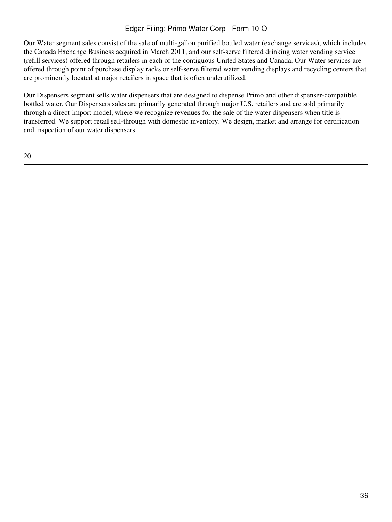Our Water segment sales consist of the sale of multi-gallon purified bottled water (exchange services), which includes the Canada Exchange Business acquired in March 2011, and our self-serve filtered drinking water vending service (refill services) offered through retailers in each of the contiguous United States and Canada. Our Water services are offered through point of purchase display racks or self-serve filtered water vending displays and recycling centers that are prominently located at major retailers in space that is often underutilized.

Our Dispensers segment sells water dispensers that are designed to dispense Primo and other dispenser-compatible bottled water. Our Dispensers sales are primarily generated through major U.S. retailers and are sold primarily through a direct-import model, where we recognize revenues for the sale of the water dispensers when title is transferred. We support retail sell-through with domestic inventory. We design, market and arrange for certification and inspection of our water dispensers.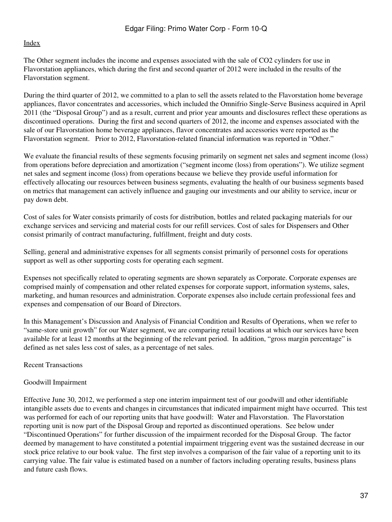The Other segment includes the income and expenses associated with the sale of CO2 cylinders for use in Flavorstation appliances, which during the first and second quarter of 2012 were included in the results of the Flavorstation segment.

During the third quarter of 2012, we committed to a plan to sell the assets related to the Flavorstation home beverage appliances, flavor concentrates and accessories, which included the Omnifrio Single-Serve Business acquired in April 2011 (the "Disposal Group") and as a result, current and prior year amounts and disclosures reflect these operations as discontinued operations. During the first and second quarters of 2012, the income and expenses associated with the sale of our Flavorstation home beverage appliances, flavor concentrates and accessories were reported as the Flavorstation segment. Prior to 2012, Flavorstation-related financial information was reported in "Other."

We evaluate the financial results of these segments focusing primarily on segment net sales and segment income (loss) from operations before depreciation and amortization ("segment income (loss) from operations"). We utilize segment net sales and segment income (loss) from operations because we believe they provide useful information for effectively allocating our resources between business segments, evaluating the health of our business segments based on metrics that management can actively influence and gauging our investments and our ability to service, incur or pay down debt.

Cost of sales for Water consists primarily of costs for distribution, bottles and related packaging materials for our exchange services and servicing and material costs for our refill services. Cost of sales for Dispensers and Other consist primarily of contract manufacturing, fulfillment, freight and duty costs.

Selling, general and administrative expenses for all segments consist primarily of personnel costs for operations support as well as other supporting costs for operating each segment.

Expenses not specifically related to operating segments are shown separately as Corporate. Corporate expenses are comprised mainly of compensation and other related expenses for corporate support, information systems, sales, marketing, and human resources and administration. Corporate expenses also include certain professional fees and expenses and compensation of our Board of Directors.

In this Management's Discussion and Analysis of Financial Condition and Results of Operations, when we refer to "same-store unit growth" for our Water segment, we are comparing retail locations at which our services have been available for at least 12 months at the beginning of the relevant period. In addition, "gross margin percentage" is defined as net sales less cost of sales, as a percentage of net sales.

Recent Transactions

## Goodwill Impairment

Effective June 30, 2012, we performed a step one interim impairment test of our goodwill and other identifiable intangible assets due to events and changes in circumstances that indicated impairment might have occurred. This test was performed for each of our reporting units that have goodwill: Water and Flavorstation. The Flavorstation reporting unit is now part of the Disposal Group and reported as discontinued operations. See below under "Discontinued Operations" for further discussion of the impairment recorded for the Disposal Group. The factor deemed by management to have constituted a potential impairment triggering event was the sustained decrease in our stock price relative to our book value. The first step involves a comparison of the fair value of a reporting unit to its carrying value. The fair value is estimated based on a number of factors including operating results, business plans and future cash flows.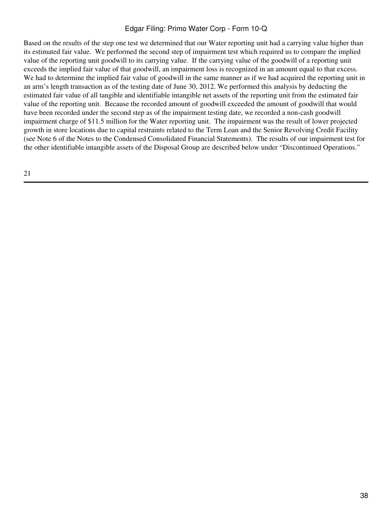Based on the results of the step one test we determined that our Water reporting unit had a carrying value higher than its estimated fair value. We performed the second step of impairment test which required us to compare the implied value of the reporting unit goodwill to its carrying value. If the carrying value of the goodwill of a reporting unit exceeds the implied fair value of that goodwill, an impairment loss is recognized in an amount equal to that excess. We had to determine the implied fair value of goodwill in the same manner as if we had acquired the reporting unit in an arm's length transaction as of the testing date of June 30, 2012. We performed this analysis by deducting the estimated fair value of all tangible and identifiable intangible net assets of the reporting unit from the estimated fair value of the reporting unit. Because the recorded amount of goodwill exceeded the amount of goodwill that would have been recorded under the second step as of the impairment testing date, we recorded a non-cash goodwill impairment charge of \$11.5 million for the Water reporting unit. The impairment was the result of lower projected growth in store locations due to capital restraints related to the Term Loan and the Senior Revolving Credit Facility (see Note 6 of the Notes to the Condensed Consolidated Financial Statements). The results of our impairment test for the other identifiable intangible assets of the Disposal Group are described below under "Discontinued Operations."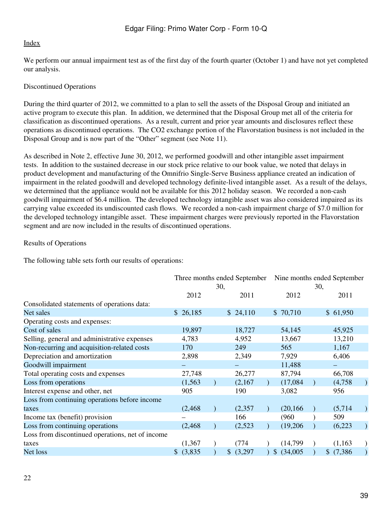We perform our annual impairment test as of the first day of the fourth quarter (October 1) and have not yet completed our analysis.

## Discontinued Operations

During the third quarter of 2012, we committed to a plan to sell the assets of the Disposal Group and initiated an active program to execute this plan. In addition, we determined that the Disposal Group met all of the criteria for classification as discontinued operations. As a result, current and prior year amounts and disclosures reflect these operations as discontinued operations. The CO2 exchange portion of the Flavorstation business is not included in the Disposal Group and is now part of the "Other" segment (see Note 11).

As described in Note 2, effective June 30, 2012, we performed goodwill and other intangible asset impairment tests. In addition to the sustained decrease in our stock price relative to our book value, we noted that delays in product development and manufacturing of the Omnifrio Single-Serve Business appliance created an indication of impairment in the related goodwill and developed technology definite-lived intangible asset. As a result of the delays, we determined that the appliance would not be available for this 2012 holiday season. We recorded a non-cash goodwill impairment of \$6.4 million. The developed technology intangible asset was also considered impaired as its carrying value exceeded its undiscounted cash flows. We recorded a non-cash impairment charge of \$7.0 million for the developed technology intangible asset. These impairment charges were previously reported in the Flavorstation segment and are now included in the results of discontinued operations.

## Results of Operations

The following table sets forth our results of operations:

|                                                  |          | Three months ended September |                | Nine months ended September |
|--------------------------------------------------|----------|------------------------------|----------------|-----------------------------|
|                                                  |          | 30,                          |                | 30,                         |
|                                                  | 2012     | 2011                         | 2012           | 2011                        |
| Consolidated statements of operations data:      |          |                              |                |                             |
| Net sales                                        | \$26,185 | \$24,110                     | \$70,710       | \$61,950                    |
| Operating costs and expenses:                    |          |                              |                |                             |
| Cost of sales                                    | 19,897   | 18,727                       | 54,145         | 45,925                      |
| Selling, general and administrative expenses     | 4,783    | 4,952                        | 13,667         | 13,210                      |
| Non-recurring and acquisition-related costs      | 170      | 249                          | 565            | 1,167                       |
| Depreciation and amortization                    | 2,898    | 2,349                        | 7,929          | 6,406                       |
| Goodwill impairment                              |          |                              | 11,488         |                             |
| Total operating costs and expenses               | 27,748   | 26,277                       | 87,794         | 66,708                      |
| Loss from operations                             | (1, 563) | (2,167)                      | (17,084)       | (4,758)                     |
| Interest expense and other, net                  | 905      | 190                          | 3,082          | 956                         |
| Loss from continuing operations before income    |          |                              |                |                             |
| taxes                                            | (2, 468) | (2, 357)                     | (20, 166)      | (5,714)                     |
| Income tax (benefit) provision                   |          | 166                          | (960)          | 509                         |
| Loss from continuing operations                  | (2, 468) | (2,523)                      | (19,206)       | (6,223)                     |
| Loss from discontinued operations, net of income |          |                              |                |                             |
| taxes                                            | (1, 367) | (774)                        | (14,799)       | (1,163)                     |
| Net loss                                         | (3,835)  | \$<br>(3,297)                | \$<br>(34,005) | (7, 386)<br>S.              |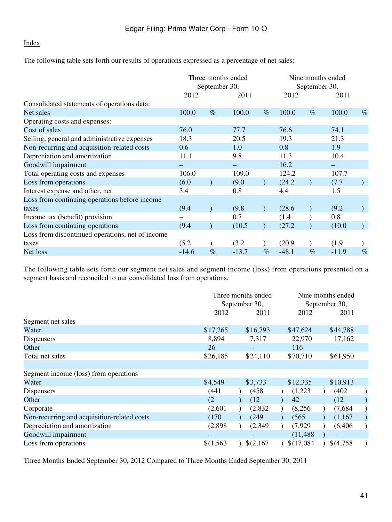The following table sets forth our results of operations expressed as a percentage of net sales:

|                                                  | Three months ended<br>September 30, |      | Nine months ended<br>September 30, |      |         |      |         |      |
|--------------------------------------------------|-------------------------------------|------|------------------------------------|------|---------|------|---------|------|
|                                                  | 2012                                |      | 2011                               |      | 2012    |      | 2011    |      |
| Consolidated statements of operations data:      |                                     |      |                                    |      |         |      |         |      |
| Net sales                                        | 100.0                               | $\%$ | 100.0                              | $\%$ | 100.0   | $\%$ | 100.0   | $\%$ |
| Operating costs and expenses:                    |                                     |      |                                    |      |         |      |         |      |
| Cost of sales                                    | 76.0                                |      | 77.7                               |      | 76.6    |      | 74.1    |      |
| Selling, general and administrative expenses     | 18.3                                |      | 20.5                               |      | 19.3    |      | 21.3    |      |
| Non-recurring and acquisition-related costs      | 0.6                                 |      | 1.0                                |      | 0.8     |      | 1.9     |      |
| Depreciation and amortization                    | 11.1                                |      | 9.8                                |      | 11.3    |      | 10.4    |      |
| Goodwill impairment                              |                                     |      |                                    |      | 16.2    |      |         |      |
| Total operating costs and expenses               | 106.0                               |      | 109.0                              |      | 124.2   |      | 107.7   |      |
| Loss from operations                             | (6.0)                               |      | (9.0)                              |      | (24.2)  |      | (7.7)   |      |
| Interest expense and other, net                  | 3.4                                 |      | 0.8                                |      | 4.4     |      | 1.5     |      |
| Loss from continuing operations before income    |                                     |      |                                    |      |         |      |         |      |
| taxes                                            | (9.4)                               |      | (9.8)                              |      | (28.6)  |      | (9.2)   |      |
| Income tax (benefit) provision                   |                                     |      | 0.7                                |      | (1.4)   |      | 0.8     |      |
| Loss from continuing operations                  | (9.4)                               |      | (10.5)                             |      | (27.2)  |      | (10.0)  |      |
| Loss from discontinued operations, net of income |                                     |      |                                    |      |         |      |         |      |
| taxes                                            | (5.2)                               |      | (3.2)                              |      | (20.9)  |      | (1.9)   |      |
| Net loss                                         | $-14.6$                             | $\%$ | $-13.7$                            | $\%$ | $-48.1$ | $\%$ | $-11.9$ | $\%$ |

The following table sets forth our segment net sales and segment income (loss) from operations presented on a segment basis and reconciled to our consolidated loss from operations.

|                                             | Three months ended<br>September 30, |           |            | Nine months ended<br>September 30, |  |
|---------------------------------------------|-------------------------------------|-----------|------------|------------------------------------|--|
|                                             | 2012                                | 2011      | 2012       | 2011                               |  |
| Segment net sales                           |                                     |           |            |                                    |  |
| Water                                       | \$17,265                            | \$16,793  | \$47,624   | \$44,788                           |  |
| Dispensers                                  | 8,894                               | 7,317     | 22,970     | 17,162                             |  |
| Other                                       | 26                                  |           | 116        |                                    |  |
| Total net sales                             | \$26,185                            | \$24,110  | \$70,710   | \$61,950                           |  |
|                                             |                                     |           |            |                                    |  |
| Segment income (loss) from operations       |                                     |           |            |                                    |  |
| Water                                       | \$4,549                             | \$3,733   | \$12,335   | \$10,913                           |  |
| Dispensers                                  | (441                                | (458)     | (1,223)    | (402)                              |  |
| Other                                       | (2)                                 | (12)      | 42         | (12)                               |  |
| Corporate                                   | (2,601)                             | (2,832)   | (8,256)    | (7,684)                            |  |
| Non-recurring and acquisition-related costs | (170)                               | (249)     | (565)      | (1,167)                            |  |
| Depreciation and amortization               | (2,898)                             | (2,349)   | (7,929)    | (6, 406)                           |  |
| Goodwill impairment                         |                                     |           | (11, 488)  |                                    |  |
| Loss from operations                        | \$(1,563)                           | \$(2,167) | \$(17,084) | \$(4,758)                          |  |

Three Months Ended September 30, 2012 Compared to Three Months Ended September 30, 2011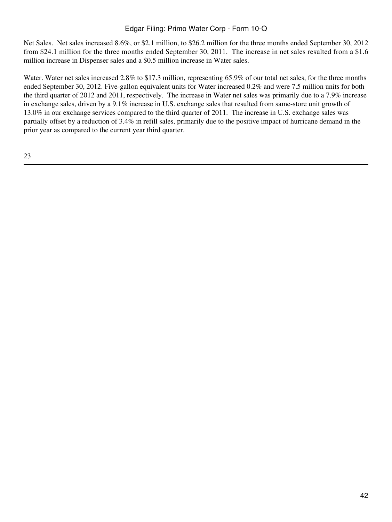Net Sales. Net sales increased 8.6%, or \$2.1 million, to \$26.2 million for the three months ended September 30, 2012 from \$24.1 million for the three months ended September 30, 2011. The increase in net sales resulted from a \$1.6 million increase in Dispenser sales and a \$0.5 million increase in Water sales.

Water. Water net sales increased 2.8% to \$17.3 million, representing 65.9% of our total net sales, for the three months ended September 30, 2012. Five-gallon equivalent units for Water increased 0.2% and were 7.5 million units for both the third quarter of 2012 and 2011, respectively. The increase in Water net sales was primarily due to a 7.9% increase in exchange sales, driven by a 9.1% increase in U.S. exchange sales that resulted from same-store unit growth of 13.0% in our exchange services compared to the third quarter of 2011. The increase in U.S. exchange sales was partially offset by a reduction of 3.4% in refill sales, primarily due to the positive impact of hurricane demand in the prior year as compared to the current year third quarter.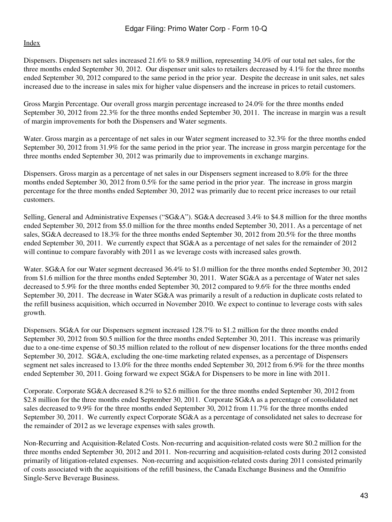Dispensers. Dispensers net sales increased 21.6% to \$8.9 million, representing 34.0% of our total net sales, for the three months ended September 30, 2012. Our dispenser unit sales to retailers decreased by 4.1% for the three months ended September 30, 2012 compared to the same period in the prior year. Despite the decrease in unit sales, net sales increased due to the increase in sales mix for higher value dispensers and the increase in prices to retail customers.

Gross Margin Percentage. Our overall gross margin percentage increased to 24.0% for the three months ended September 30, 2012 from 22.3% for the three months ended September 30, 2011. The increase in margin was a result of margin improvements for both the Dispensers and Water segments.

Water. Gross margin as a percentage of net sales in our Water segment increased to 32.3% for the three months ended September 30, 2012 from 31.9% for the same period in the prior year. The increase in gross margin percentage for the three months ended September 30, 2012 was primarily due to improvements in exchange margins.

Dispensers. Gross margin as a percentage of net sales in our Dispensers segment increased to 8.0% for the three months ended September 30, 2012 from 0.5% for the same period in the prior year. The increase in gross margin percentage for the three months ended September 30, 2012 was primarily due to recent price increases to our retail customers.

Selling, General and Administrative Expenses ("SG&A"). SG&A decreased 3.4% to \$4.8 million for the three months ended September 30, 2012 from \$5.0 million for the three months ended September 30, 2011. As a percentage of net sales, SG&A decreased to 18.3% for the three months ended September 30, 2012 from 20.5% for the three months ended September 30, 2011. We currently expect that SG&A as a percentage of net sales for the remainder of 2012 will continue to compare favorably with 2011 as we leverage costs with increased sales growth.

Water. SG&A for our Water segment decreased 36.4% to \$1.0 million for the three months ended September 30, 2012 from \$1.6 million for the three months ended September 30, 2011. Water SG&A as a percentage of Water net sales decreased to 5.9% for the three months ended September 30, 2012 compared to 9.6% for the three months ended September 30, 2011. The decrease in Water SG&A was primarily a result of a reduction in duplicate costs related to the refill business acquisition, which occurred in November 2010. We expect to continue to leverage costs with sales growth.

Dispensers. SG&A for our Dispensers segment increased 128.7% to \$1.2 million for the three months ended September 30, 2012 from \$0.5 million for the three months ended September 30, 2011. This increase was primarily due to a one-time expense of \$0.35 million related to the rollout of new dispenser locations for the three months ended September 30, 2012. SG&A, excluding the one-time marketing related expenses, as a percentage of Dispensers segment net sales increased to 13.0% for the three months ended September 30, 2012 from 6.9% for the three months ended September 30, 2011. Going forward we expect SG&A for Dispensers to be more in line with 2011.

Corporate. Corporate SG&A decreased 8.2% to \$2.6 million for the three months ended September 30, 2012 from \$2.8 million for the three months ended September 30, 2011. Corporate SG&A as a percentage of consolidated net sales decreased to 9.9% for the three months ended September 30, 2012 from 11.7% for the three months ended September 30, 2011. We currently expect Corporate SG&A as a percentage of consolidated net sales to decrease for the remainder of 2012 as we leverage expenses with sales growth.

Non-Recurring and Acquisition-Related Costs. Non-recurring and acquisition-related costs were \$0.2 million for the three months ended September 30, 2012 and 2011. Non-recurring and acquisition-related costs during 2012 consisted primarily of litigation-related expenses. Non-recurring and acquisition-related costs during 2011 consisted primarily of costs associated with the acquisitions of the refill business, the Canada Exchange Business and the Omnifrio Single-Serve Beverage Business.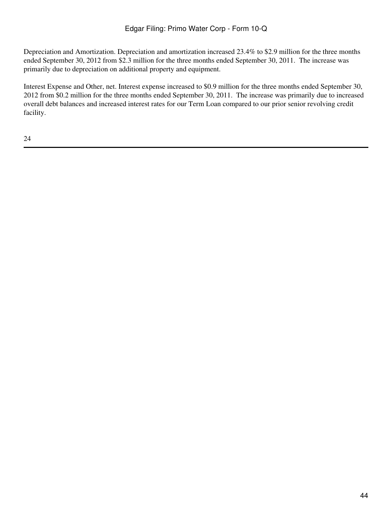Depreciation and Amortization. Depreciation and amortization increased 23.4% to \$2.9 million for the three months ended September 30, 2012 from \$2.3 million for the three months ended September 30, 2011. The increase was primarily due to depreciation on additional property and equipment.

Interest Expense and Other, net. Interest expense increased to \$0.9 million for the three months ended September 30, 2012 from \$0.2 million for the three months ended September 30, 2011. The increase was primarily due to increased overall debt balances and increased interest rates for our Term Loan compared to our prior senior revolving credit facility.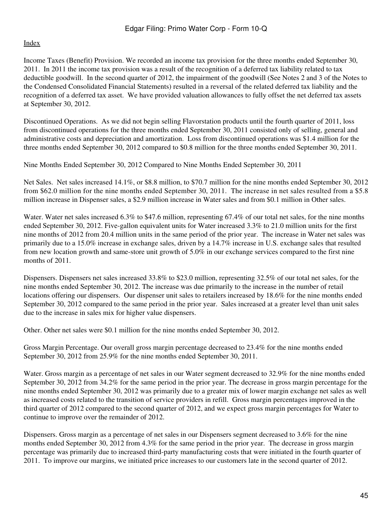Income Taxes (Benefit) Provision. We recorded an income tax provision for the three months ended September 30, 2011. In 2011 the income tax provision was a result of the recognition of a deferred tax liability related to tax deductible goodwill. In the second quarter of 2012, the impairment of the goodwill (See Notes 2 and 3 of the Notes to the Condensed Consolidated Financial Statements) resulted in a reversal of the related deferred tax liability and the recognition of a deferred tax asset. We have provided valuation allowances to fully offset the net deferred tax assets at September 30, 2012.

Discontinued Operations. As we did not begin selling Flavorstation products until the fourth quarter of 2011, loss from discontinued operations for the three months ended September 30, 2011 consisted only of selling, general and administrative costs and depreciation and amortization. Loss from discontinued operations was \$1.4 million for the three months ended September 30, 2012 compared to \$0.8 million for the three months ended September 30, 2011.

Nine Months Ended September 30, 2012 Compared to Nine Months Ended September 30, 2011

Net Sales. Net sales increased 14.1%, or \$8.8 million, to \$70.7 million for the nine months ended September 30, 2012 from \$62.0 million for the nine months ended September 30, 2011. The increase in net sales resulted from a \$5.8 million increase in Dispenser sales, a \$2.9 million increase in Water sales and from \$0.1 million in Other sales.

Water. Water net sales increased 6.3% to \$47.6 million, representing 67.4% of our total net sales, for the nine months ended September 30, 2012. Five-gallon equivalent units for Water increased 3.3% to 21.0 million units for the first nine months of 2012 from 20.4 million units in the same period of the prior year. The increase in Water net sales was primarily due to a 15.0% increase in exchange sales, driven by a 14.7% increase in U.S. exchange sales that resulted from new location growth and same-store unit growth of 5.0% in our exchange services compared to the first nine months of 2011.

Dispensers. Dispensers net sales increased 33.8% to \$23.0 million, representing 32.5% of our total net sales, for the nine months ended September 30, 2012. The increase was due primarily to the increase in the number of retail locations offering our dispensers. Our dispenser unit sales to retailers increased by 18.6% for the nine months ended September 30, 2012 compared to the same period in the prior year. Sales increased at a greater level than unit sales due to the increase in sales mix for higher value dispensers.

Other. Other net sales were \$0.1 million for the nine months ended September 30, 2012.

Gross Margin Percentage. Our overall gross margin percentage decreased to 23.4% for the nine months ended September 30, 2012 from 25.9% for the nine months ended September 30, 2011.

Water. Gross margin as a percentage of net sales in our Water segment decreased to 32.9% for the nine months ended September 30, 2012 from 34.2% for the same period in the prior year. The decrease in gross margin percentage for the nine months ended September 30, 2012 was primarily due to a greater mix of lower margin exchange net sales as well as increased costs related to the transition of service providers in refill. Gross margin percentages improved in the third quarter of 2012 compared to the second quarter of 2012, and we expect gross margin percentages for Water to continue to improve over the remainder of 2012.

Dispensers. Gross margin as a percentage of net sales in our Dispensers segment decreased to 3.6% for the nine months ended September 30, 2012 from 4.3% for the same period in the prior year. The decrease in gross margin percentage was primarily due to increased third-party manufacturing costs that were initiated in the fourth quarter of 2011. To improve our margins, we initiated price increases to our customers late in the second quarter of 2012.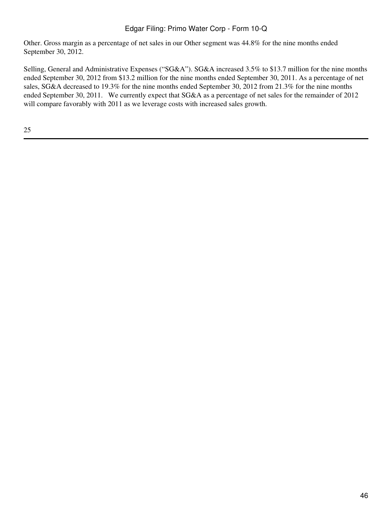Other. Gross margin as a percentage of net sales in our Other segment was 44.8% for the nine months ended September 30, 2012.

Selling, General and Administrative Expenses ("SG&A"). SG&A increased 3.5% to \$13.7 million for the nine months ended September 30, 2012 from \$13.2 million for the nine months ended September 30, 2011. As a percentage of net sales, SG&A decreased to 19.3% for the nine months ended September 30, 2012 from 21.3% for the nine months ended September 30, 2011. We currently expect that SG&A as a percentage of net sales for the remainder of 2012 will compare favorably with 2011 as we leverage costs with increased sales growth.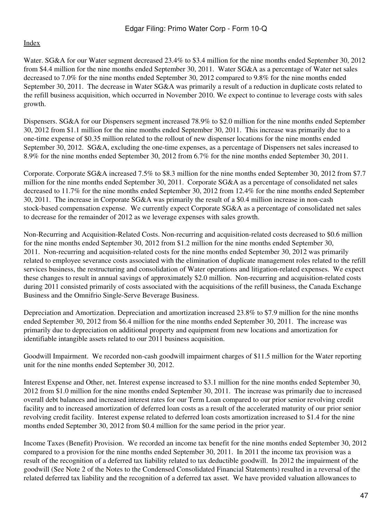Water. SG&A for our Water segment decreased 23.4% to \$3.4 million for the nine months ended September 30, 2012 from \$4.4 million for the nine months ended September 30, 2011. Water SG&A as a percentage of Water net sales decreased to 7.0% for the nine months ended September 30, 2012 compared to 9.8% for the nine months ended September 30, 2011. The decrease in Water SG&A was primarily a result of a reduction in duplicate costs related to the refill business acquisition, which occurred in November 2010. We expect to continue to leverage costs with sales growth.

Dispensers. SG&A for our Dispensers segment increased 78.9% to \$2.0 million for the nine months ended September 30, 2012 from \$1.1 million for the nine months ended September 30, 2011. This increase was primarily due to a one-time expense of \$0.35 million related to the rollout of new dispenser locations for the nine months ended September 30, 2012. SG&A, excluding the one-time expenses, as a percentage of Dispensers net sales increased to 8.9% for the nine months ended September 30, 2012 from 6.7% for the nine months ended September 30, 2011.

Corporate. Corporate SG&A increased 7.5% to \$8.3 million for the nine months ended September 30, 2012 from \$7.7 million for the nine months ended September 30, 2011. Corporate SG&A as a percentage of consolidated net sales decreased to 11.7% for the nine months ended September 30, 2012 from 12.4% for the nine months ended September 30, 2011. The increase in Corporate SG&A was primarily the result of a \$0.4 million increase in non-cash stock-based compensation expense. We currently expect Corporate SG&A as a percentage of consolidated net sales to decrease for the remainder of 2012 as we leverage expenses with sales growth.

Non-Recurring and Acquisition-Related Costs. Non-recurring and acquisition-related costs decreased to \$0.6 million for the nine months ended September 30, 2012 from \$1.2 million for the nine months ended September 30, 2011. Non-recurring and acquisition-related costs for the nine months ended September 30, 2012 was primarily related to employee severance costs associated with the elimination of duplicate management roles related to the refill services business, the restructuring and consolidation of Water operations and litigation-related expenses. We expect these changes to result in annual savings of approximately \$2.0 million. Non-recurring and acquisition-related costs during 2011 consisted primarily of costs associated with the acquisitions of the refill business, the Canada Exchange Business and the Omnifrio Single-Serve Beverage Business.

Depreciation and Amortization. Depreciation and amortization increased 23.8% to \$7.9 million for the nine months ended September 30, 2012 from \$6.4 million for the nine months ended September 30, 2011. The increase was primarily due to depreciation on additional property and equipment from new locations and amortization for identifiable intangible assets related to our 2011 business acquisition.

Goodwill Impairment. We recorded non-cash goodwill impairment charges of \$11.5 million for the Water reporting unit for the nine months ended September 30, 2012.

Interest Expense and Other, net. Interest expense increased to \$3.1 million for the nine months ended September 30, 2012 from \$1.0 million for the nine months ended September 30, 2011. The increase was primarily due to increased overall debt balances and increased interest rates for our Term Loan compared to our prior senior revolving credit facility and to increased amortization of deferred loan costs as a result of the accelerated maturity of our prior senior revolving credit facility. Interest expense related to deferred loan costs amortization increased to \$1.4 for the nine months ended September 30, 2012 from \$0.4 million for the same period in the prior year.

Income Taxes (Benefit) Provision. We recorded an income tax benefit for the nine months ended September 30, 2012 compared to a provision for the nine months ended September 30, 2011. In 2011 the income tax provision was a result of the recognition of a deferred tax liability related to tax deductible goodwill. In 2012 the impairment of the goodwill (See Note 2 of the Notes to the Condensed Consolidated Financial Statements) resulted in a reversal of the related deferred tax liability and the recognition of a deferred tax asset. We have provided valuation allowances to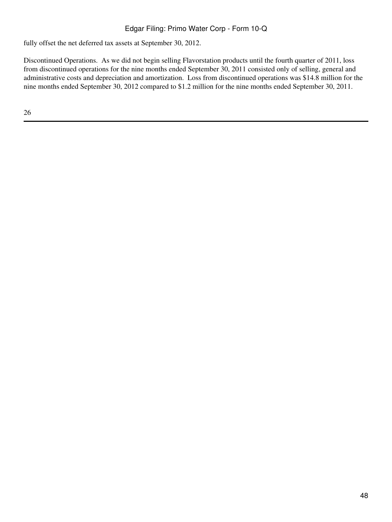fully offset the net deferred tax assets at September 30, 2012.

Discontinued Operations. As we did not begin selling Flavorstation products until the fourth quarter of 2011, loss from discontinued operations for the nine months ended September 30, 2011 consisted only of selling, general and administrative costs and depreciation and amortization. Loss from discontinued operations was \$14.8 million for the nine months ended September 30, 2012 compared to \$1.2 million for the nine months ended September 30, 2011.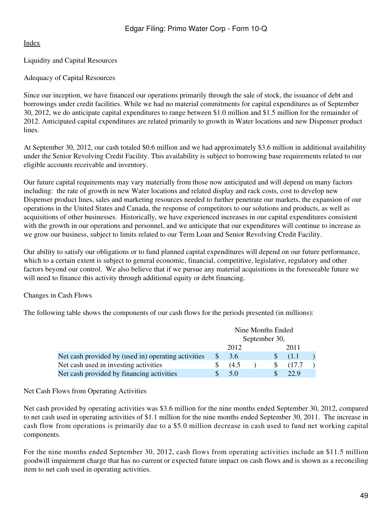Liquidity and Capital Resources

# Adequacy of Capital Resources

Since our inception, we have financed our operations primarily through the sale of stock, the issuance of debt and borrowings under credit facilities. While we had no material commitments for capital expenditures as of September 30, 2012, we do anticipate capital expenditures to range between \$1.0 million and \$1.5 million for the remainder of 2012. Anticipated capital expenditures are related primarily to growth in Water locations and new Dispenser product lines.

At September 30, 2012, our cash totaled \$0.6 million and we had approximately \$3.6 million in additional availability under the Senior Revolving Credit Facility. This availability is subject to borrowing base requirements related to our eligible accounts receivable and inventory.

Our future capital requirements may vary materially from those now anticipated and will depend on many factors including: the rate of growth in new Water locations and related display and rack costs, cost to develop new Dispenser product lines, sales and marketing resources needed to further penetrate our markets, the expansion of our operations in the United States and Canada, the response of competitors to our solutions and products, as well as acquisitions of other businesses. Historically, we have experienced increases in our capital expenditures consistent with the growth in our operations and personnel, and we anticipate that our expenditures will continue to increase as we grow our business, subject to limits related to our Term Loan and Senior Revolving Credit Facility.

Our ability to satisfy our obligations or to fund planned capital expenditures will depend on our future performance, which to a certain extent is subject to general economic, financial, competitive, legislative, regulatory and other factors beyond our control. We also believe that if we pursue any material acquisitions in the foreseeable future we will need to finance this activity through additional equity or debt financing.

## Changes in Cash Flows

The following table shows the components of our cash flows for the periods presented (in millions):

|                                                     | Nine Months Ended<br>September 30, |       |  |  |        |  |
|-----------------------------------------------------|------------------------------------|-------|--|--|--------|--|
|                                                     |                                    | 2012  |  |  | 2011   |  |
| Net cash provided by (used in) operating activities | S.                                 | 3.6   |  |  | (1.1)  |  |
| Net cash used in investing activities               |                                    | (4.5) |  |  | (17.7) |  |
| Net cash provided by financing activities           |                                    | 5.0   |  |  | 22.9   |  |

## Net Cash Flows from Operating Activities

Net cash provided by operating activities was \$3.6 million for the nine months ended September 30, 2012, compared to net cash used in operating activities of \$1.1 million for the nine months ended September 30, 2011. The increase in cash flow from operations is primarily due to a \$5.0 million decrease in cash used to fund net working capital components.

For the nine months ended September 30, 2012, cash flows from operating activities include an \$11.5 million goodwill impairment charge that has no current or expected future impact on cash flows and is shown as a reconciling item to net cash used in operating activities.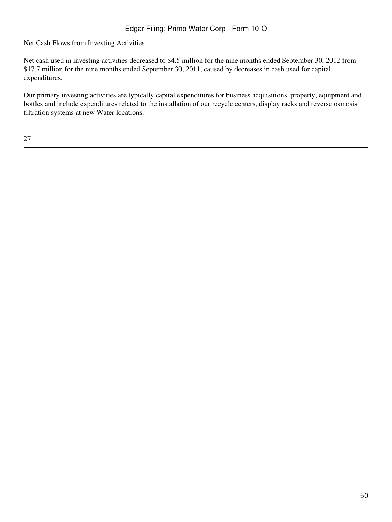Net Cash Flows from Investing Activities

Net cash used in investing activities decreased to \$4.5 million for the nine months ended September 30, 2012 from \$17.7 million for the nine months ended September 30, 2011, caused by decreases in cash used for capital expenditures.

Our primary investing activities are typically capital expenditures for business acquisitions, property, equipment and bottles and include expenditures related to the installation of our recycle centers, display racks and reverse osmosis filtration systems at new Water locations.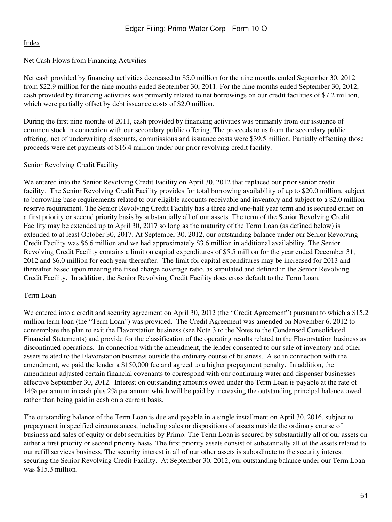## Net Cash Flows from Financing Activities

Net cash provided by financing activities decreased to \$5.0 million for the nine months ended September 30, 2012 from \$22.9 million for the nine months ended September 30, 2011. For the nine months ended September 30, 2012, cash provided by financing activities was primarily related to net borrowings on our credit facilities of \$7.2 million, which were partially offset by debt issuance costs of \$2.0 million.

During the first nine months of 2011, cash provided by financing activities was primarily from our issuance of common stock in connection with our secondary public offering. The proceeds to us from the secondary public offering, net of underwriting discounts, commissions and issuance costs were \$39.5 million. Partially offsetting those proceeds were net payments of \$16.4 million under our prior revolving credit facility.

## Senior Revolving Credit Facility

We entered into the Senior Revolving Credit Facility on April 30, 2012 that replaced our prior senior credit facility. The Senior Revolving Credit Facility provides for total borrowing availability of up to \$20.0 million, subject to borrowing base requirements related to our eligible accounts receivable and inventory and subject to a \$2.0 million reserve requirement. The Senior Revolving Credit Facility has a three and one-half year term and is secured either on a first priority or second priority basis by substantially all of our assets. The term of the Senior Revolving Credit Facility may be extended up to April 30, 2017 so long as the maturity of the Term Loan (as defined below) is extended to at least October 30, 2017. At September 30, 2012, our outstanding balance under our Senior Revolving Credit Facility was \$6.6 million and we had approximately \$3.6 million in additional availability. The Senior Revolving Credit Facility contains a limit on capital expenditures of \$5.5 million for the year ended December 31, 2012 and \$6.0 million for each year thereafter. The limit for capital expenditures may be increased for 2013 and thereafter based upon meeting the fixed charge coverage ratio, as stipulated and defined in the Senior Revolving Credit Facility. In addition, the Senior Revolving Credit Facility does cross default to the Term Loan.

### Term Loan

We entered into a credit and security agreement on April 30, 2012 (the "Credit Agreement") pursuant to which a \$15.2 million term loan (the "Term Loan") was provided. The Credit Agreement was amended on November 6, 2012 to contemplate the plan to exit the Flavorstation business (see Note 3 to the Notes to the Condensed Consolidated Financial Statements) and provide for the classification of the operating results related to the Flavorstation business as discontinued operations. In connection with the amendment, the lender consented to our sale of inventory and other assets related to the Flavorstation business outside the ordinary course of business. Also in connection with the amendment, we paid the lender a \$150,000 fee and agreed to a higher prepayment penalty. In addition, the amendment adjusted certain financial covenants to correspond with our continuing water and dispenser businesses effective September 30, 2012. Interest on outstanding amounts owed under the Term Loan is payable at the rate of 14% per annum in cash plus 2% per annum which will be paid by increasing the outstanding principal balance owed rather than being paid in cash on a current basis.

The outstanding balance of the Term Loan is due and payable in a single installment on April 30, 2016, subject to prepayment in specified circumstances, including sales or dispositions of assets outside the ordinary course of business and sales of equity or debt securities by Primo. The Term Loan is secured by substantially all of our assets on either a first priority or second priority basis. The first priority assets consist of substantially all of the assets related to our refill services business. The security interest in all of our other assets is subordinate to the security interest securing the Senior Revolving Credit Facility. At September 30, 2012, our outstanding balance under our Term Loan was \$15.3 million.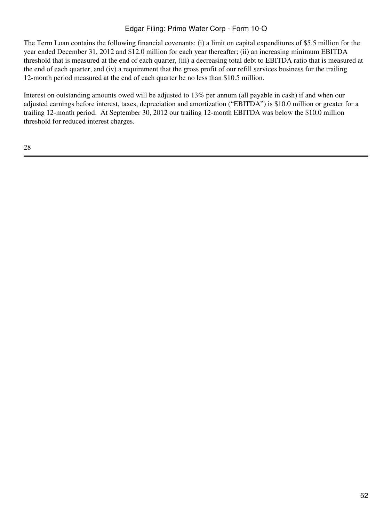The Term Loan contains the following financial covenants: (i) a limit on capital expenditures of \$5.5 million for the year ended December 31, 2012 and \$12.0 million for each year thereafter; (ii) an increasing minimum EBITDA threshold that is measured at the end of each quarter, (iii) a decreasing total debt to EBITDA ratio that is measured at the end of each quarter, and (iv) a requirement that the gross profit of our refill services business for the trailing 12-month period measured at the end of each quarter be no less than \$10.5 million.

Interest on outstanding amounts owed will be adjusted to 13% per annum (all payable in cash) if and when our adjusted earnings before interest, taxes, depreciation and amortization ("EBITDA") is \$10.0 million or greater for a trailing 12-month period. At September 30, 2012 our trailing 12-month EBITDA was below the \$10.0 million threshold for reduced interest charges.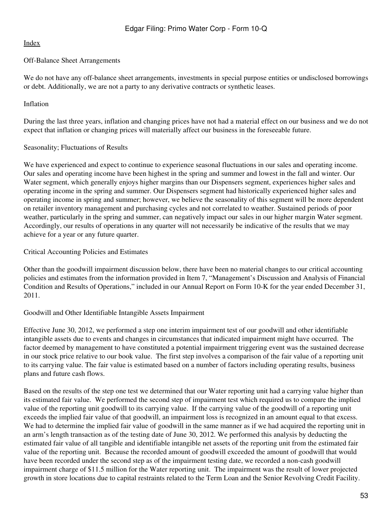## Off-Balance Sheet Arrangements

We do not have any off-balance sheet arrangements, investments in special purpose entities or undisclosed borrowings or debt. Additionally, we are not a party to any derivative contracts or synthetic leases.

## Inflation

During the last three years, inflation and changing prices have not had a material effect on our business and we do not expect that inflation or changing prices will materially affect our business in the foreseeable future.

## Seasonality; Fluctuations of Results

We have experienced and expect to continue to experience seasonal fluctuations in our sales and operating income. Our sales and operating income have been highest in the spring and summer and lowest in the fall and winter. Our Water segment, which generally enjoys higher margins than our Dispensers segment, experiences higher sales and operating income in the spring and summer. Our Dispensers segment had historically experienced higher sales and operating income in spring and summer; however, we believe the seasonality of this segment will be more dependent on retailer inventory management and purchasing cycles and not correlated to weather. Sustained periods of poor weather, particularly in the spring and summer, can negatively impact our sales in our higher margin Water segment. Accordingly, our results of operations in any quarter will not necessarily be indicative of the results that we may achieve for a year or any future quarter.

Critical Accounting Policies and Estimates

Other than the goodwill impairment discussion below, there have been no material changes to our critical accounting policies and estimates from the information provided in Item 7, "Management's Discussion and Analysis of Financial Condition and Results of Operations," included in our Annual Report on Form 10-K for the year ended December 31, 2011.

## Goodwill and Other Identifiable Intangible Assets Impairment

Effective June 30, 2012, we performed a step one interim impairment test of our goodwill and other identifiable intangible assets due to events and changes in circumstances that indicated impairment might have occurred. The factor deemed by management to have constituted a potential impairment triggering event was the sustained decrease in our stock price relative to our book value. The first step involves a comparison of the fair value of a reporting unit to its carrying value. The fair value is estimated based on a number of factors including operating results, business plans and future cash flows.

Based on the results of the step one test we determined that our Water reporting unit had a carrying value higher than its estimated fair value. We performed the second step of impairment test which required us to compare the implied value of the reporting unit goodwill to its carrying value. If the carrying value of the goodwill of a reporting unit exceeds the implied fair value of that goodwill, an impairment loss is recognized in an amount equal to that excess. We had to determine the implied fair value of goodwill in the same manner as if we had acquired the reporting unit in an arm's length transaction as of the testing date of June 30, 2012. We performed this analysis by deducting the estimated fair value of all tangible and identifiable intangible net assets of the reporting unit from the estimated fair value of the reporting unit. Because the recorded amount of goodwill exceeded the amount of goodwill that would have been recorded under the second step as of the impairment testing date, we recorded a non-cash goodwill impairment charge of \$11.5 million for the Water reporting unit. The impairment was the result of lower projected growth in store locations due to capital restraints related to the Term Loan and the Senior Revolving Credit Facility.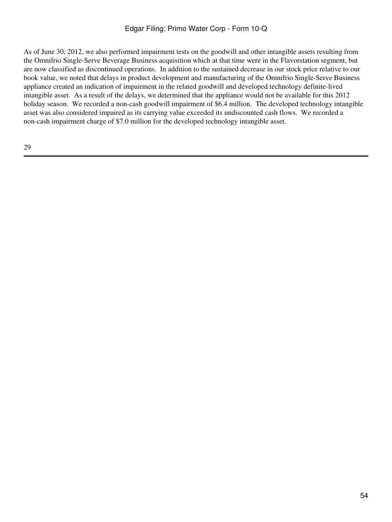As of June 30, 2012, we also performed impairment tests on the goodwill and other intangible assets resulting from the Omnifrio Single-Serve Beverage Business acquisition which at that time were in the Flavorstation segment, but are now classified as discontinued operations. In addition to the sustained decrease in our stock price relative to our book value, we noted that delays in product development and manufacturing of the Omnifrio Single-Serve Business appliance created an indication of impairment in the related goodwill and developed technology definite-lived intangible asset. As a result of the delays, we determined that the appliance would not be available for this 2012 holiday season. We recorded a non-cash goodwill impairment of \$6.4 million. The developed technology intangible asset was also considered impaired as its carrying value exceeded its undiscounted cash flows. We recorded a non-cash impairment charge of \$7.0 million for the developed technology intangible asset.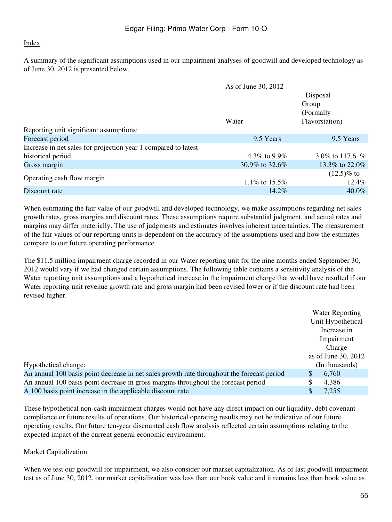A summary of the significant assumptions used in our impairment analyses of goodwill and developed technology as of June 30, 2012 is presented below.

|                                                                | As of June 30, 2012 |                   |
|----------------------------------------------------------------|---------------------|-------------------|
|                                                                |                     | Disposal          |
|                                                                |                     | Group             |
|                                                                |                     | (Formally)        |
|                                                                | Water               | Flavorstation)    |
| Reporting unit significant assumptions:                        |                     |                   |
| Forecast period                                                | 9.5 Years           | 9.5 Years         |
| Increase in net sales for projection year 1 compared to latest |                     |                   |
| historical period                                              | 4.3\% to 9.9\%      | 3.0\% to 117.6 \% |
| Gross margin                                                   | 30.9% to 32.6%      | 13.3\% to 22.0\%  |
|                                                                |                     | $(12.5)\%$ to     |
| Operating cash flow margin                                     | 1.1\% to 15.5\%     | $12.4\%$          |
| Discount rate                                                  | $14.2\%$            | $40.0\%$          |

When estimating the fair value of our goodwill and developed technology, we make assumptions regarding net sales growth rates, gross margins and discount rates. These assumptions require substantial judgment, and actual rates and margins may differ materially. The use of judgments and estimates involves inherent uncertainties. The measurement of the fair values of our reporting units is dependent on the accuracy of the assumptions used and how the estimates compare to our future operating performance.

The \$11.5 million impairment charge recorded in our Water reporting unit for the nine months ended September 30, 2012 would vary if we had changed certain assumptions. The following table contains a sensitivity analysis of the Water reporting unit assumptions and a hypothetical increase in the impairment charge that would have resulted if our Water reporting unit revenue growth rate and gross margin had been revised lower or if the discount rate had been revised higher.

|                                                                                            | <b>Water Reporting</b> |
|--------------------------------------------------------------------------------------------|------------------------|
|                                                                                            | Unit Hypothetical      |
|                                                                                            | Increase in            |
|                                                                                            | Impairment             |
|                                                                                            | Charge                 |
|                                                                                            | as of June 30, 2012    |
| Hypothetical change:                                                                       | (In thousands)         |
| An annual 100 basis point decrease in net sales growth rate throughout the forecast period | 6,760<br>\$            |
| An annual 100 basis point decrease in gross margins throughout the forecast period         | \$<br>4,386            |
| A 100 basis point increase in the applicable discount rate                                 | \$<br>7,255            |
|                                                                                            |                        |

These hypothetical non-cash impairment charges would not have any direct impact on our liquidity, debt covenant compliance or future results of operations. Our historical operating results may not be indicative of our future operating results. Our future ten-year discounted cash flow analysis reflected certain assumptions relating to the expected impact of the current general economic environment.

## Market Capitalization

When we test our goodwill for impairment, we also consider our market capitalization. As of last goodwill impairment test as of June 30, 2012, our market capitalization was less than our book value and it remains less than book value as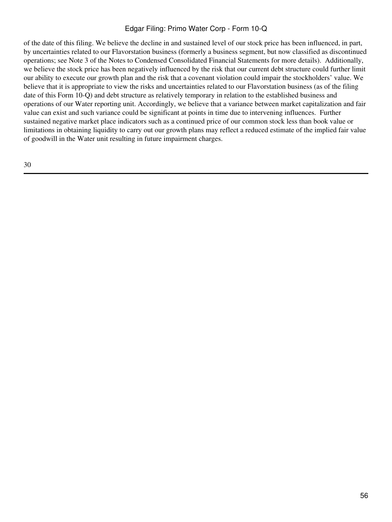of the date of this filing. We believe the decline in and sustained level of our stock price has been influenced, in part, by uncertainties related to our Flavorstation business (formerly a business segment, but now classified as discontinued operations; see Note 3 of the Notes to Condensed Consolidated Financial Statements for more details). Additionally, we believe the stock price has been negatively influenced by the risk that our current debt structure could further limit our ability to execute our growth plan and the risk that a covenant violation could impair the stockholders' value. We believe that it is appropriate to view the risks and uncertainties related to our Flavorstation business (as of the filing date of this Form 10-Q) and debt structure as relatively temporary in relation to the established business and operations of our Water reporting unit. Accordingly, we believe that a variance between market capitalization and fair value can exist and such variance could be significant at points in time due to intervening influences. Further sustained negative market place indicators such as a continued price of our common stock less than book value or limitations in obtaining liquidity to carry out our growth plans may reflect a reduced estimate of the implied fair value of goodwill in the Water unit resulting in future impairment charges.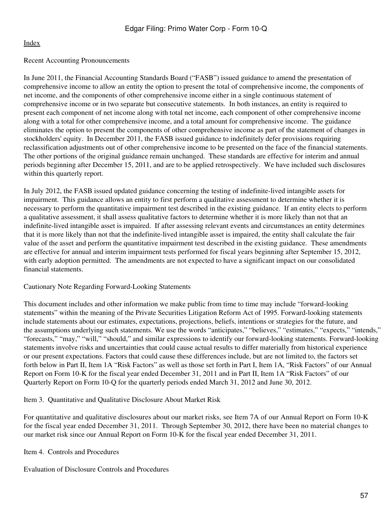## Recent Accounting Pronouncements

In June 2011, the Financial Accounting Standards Board ("FASB") issued guidance to amend the presentation of comprehensive income to allow an entity the option to present the total of comprehensive income, the components of net income, and the components of other comprehensive income either in a single continuous statement of comprehensive income or in two separate but consecutive statements. In both instances, an entity is required to present each component of net income along with total net income, each component of other comprehensive income along with a total for other comprehensive income, and a total amount for comprehensive income. The guidance eliminates the option to present the components of other comprehensive income as part of the statement of changes in stockholders' equity. In December 2011, the FASB issued guidance to indefinitely defer provisions requiring reclassification adjustments out of other comprehensive income to be presented on the face of the financial statements. The other portions of the original guidance remain unchanged. These standards are effective for interim and annual periods beginning after December 15, 2011, and are to be applied retrospectively. We have included such disclosures within this quarterly report.

In July 2012, the FASB issued updated guidance concerning the testing of indefinite-lived intangible assets for impairment. This guidance allows an entity to first perform a qualitative assessment to determine whether it is necessary to perform the quantitative impairment test described in the existing guidance. If an entity elects to perform a qualitative assessment, it shall assess qualitative factors to determine whether it is more likely than not that an indefinite-lived intangible asset is impaired. If after assessing relevant events and circumstances an entity determines that it is more likely than not that the indefinite-lived intangible asset is impaired, the entity shall calculate the fair value of the asset and perform the quantitative impairment test described in the existing guidance. These amendments are effective for annual and interim impairment tests performed for fiscal years beginning after September 15, 2012, with early adoption permitted. The amendments are not expected to have a significant impact on our consolidated financial statements.

### Cautionary Note Regarding Forward-Looking Statements

This document includes and other information we make public from time to time may include "forward-looking statements" within the meaning of the Private Securities Litigation Reform Act of 1995. Forward-looking statements include statements about our estimates, expectations, projections, beliefs, intentions or strategies for the future, and the assumptions underlying such statements. We use the words "anticipates," "believes," "estimates," "expects," "intends," "forecasts," "may," "will," "should," and similar expressions to identify our forward-looking statements. Forward-looking statements involve risks and uncertainties that could cause actual results to differ materially from historical experience or our present expectations. Factors that could cause these differences include, but are not limited to, the factors set forth below in Part II, Item 1A "Risk Factors" as well as those set forth in Part I, Item 1A, "Risk Factors" of our Annual Report on Form 10-K for the fiscal year ended December 31, 2011 and in Part II, Item 1A "Risk Factors" of our Quarterly Report on Form 10-Q for the quarterly periods ended March 31, 2012 and June 30, 2012.

<span id="page-56-0"></span>Item 3. Quantitative and Qualitative Disclosure About Market Risk

For quantitative and qualitative disclosures about our market risks, see Item 7A of our Annual Report on Form 10-K for the fiscal year ended December 31, 2011. Through September 30, 2012, there have been no material changes to our market risk since our Annual Report on Form 10-K for the fiscal year ended December 31, 2011.

<span id="page-56-1"></span>Item 4. Controls and Procedures

Evaluation of Disclosure Controls and Procedures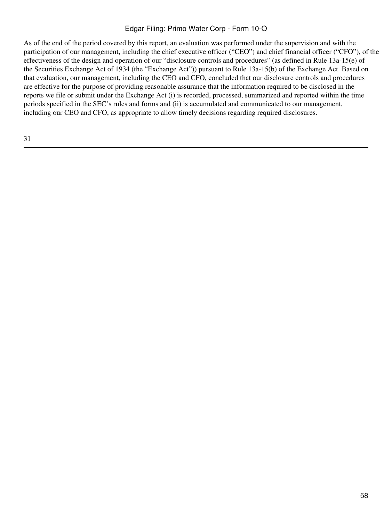As of the end of the period covered by this report, an evaluation was performed under the supervision and with the participation of our management, including the chief executive officer ("CEO") and chief financial officer ("CFO"), of the effectiveness of the design and operation of our "disclosure controls and procedures" (as defined in Rule 13a-15(e) of the Securities Exchange Act of 1934 (the "Exchange Act")) pursuant to Rule 13a-15(b) of the Exchange Act. Based on that evaluation, our management, including the CEO and CFO, concluded that our disclosure controls and procedures are effective for the purpose of providing reasonable assurance that the information required to be disclosed in the reports we file or submit under the Exchange Act (i) is recorded, processed, summarized and reported within the time periods specified in the SEC's rules and forms and (ii) is accumulated and communicated to our management, including our CEO and CFO, as appropriate to allow timely decisions regarding required disclosures.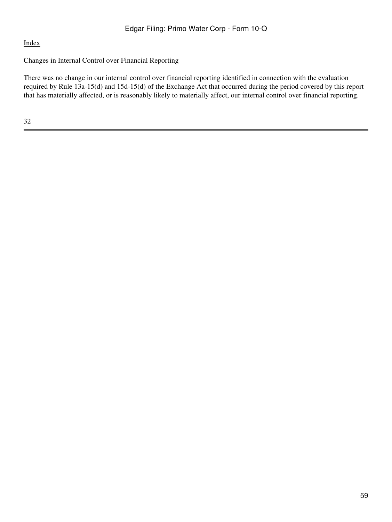## Changes in Internal Control over Financial Reporting

There was no change in our internal control over financial reporting identified in connection with the evaluation required by Rule 13a-15(d) and 15d-15(d) of the Exchange Act that occurred during the period covered by this report that has materially affected, or is reasonably likely to materially affect, our internal control over financial reporting.

32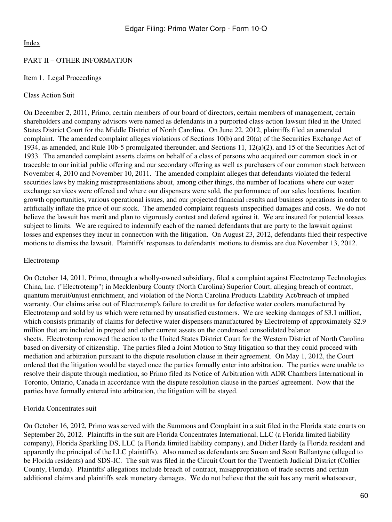## PART II – OTHER INFORMATION

## <span id="page-59-0"></span>Item 1. Legal Proceedings

### Class Action Suit

On December 2, 2011, Primo, certain members of our board of directors, certain members of management, certain shareholders and company advisors were named as defendants in a purported class-action lawsuit filed in the United States District Court for the Middle District of North Carolina. On June 22, 2012, plaintiffs filed an amended complaint. The amended complaint alleges violations of Sections 10(b) and 20(a) of the Securities Exchange Act of 1934, as amended, and Rule 10b-5 promulgated thereunder, and Sections 11, 12(a)(2), and 15 of the Securities Act of 1933. The amended complaint asserts claims on behalf of a class of persons who acquired our common stock in or traceable to our initial public offering and our secondary offering as well as purchasers of our common stock between November 4, 2010 and November 10, 2011. The amended complaint alleges that defendants violated the federal securities laws by making misrepresentations about, among other things, the number of locations where our water exchange services were offered and where our dispensers were sold, the performance of our sales locations, location growth opportunities, various operational issues, and our projected financial results and business operations in order to artificially inflate the price of our stock. The amended complaint requests unspecified damages and costs. We do not believe the lawsuit has merit and plan to vigorously contest and defend against it. We are insured for potential losses subject to limits. We are required to indemnify each of the named defendants that are party to the lawsuit against losses and expenses they incur in connection with the litigation. On August 23, 2012, defendants filed their respective motions to dismiss the lawsuit. Plaintiffs' responses to defendants' motions to dismiss are due November 13, 2012.

## Electrotemp

On October 14, 2011, Primo, through a wholly-owned subsidiary, filed a complaint against Electrotemp Technologies China, Inc. ("Electrotemp") in Mecklenburg County (North Carolina) Superior Court, alleging breach of contract, quantum meruit/unjust enrichment, and violation of the North Carolina Products Liability Act/breach of implied warranty. Our claims arise out of Electrotemp's failure to credit us for defective water coolers manufactured by Electrotemp and sold by us which were returned by unsatisfied customers. We are seeking damages of \$3.1 million, which consists primarily of claims for defective water dispensers manufactured by Electrotemp of approximately \$2.9 million that are included in prepaid and other current assets on the condensed consolidated balance sheets. Electrotemp removed the action to the United States District Court for the Western District of North Carolina based on diversity of citizenship. The parties filed a Joint Motion to Stay litigation so that they could proceed with mediation and arbitration pursuant to the dispute resolution clause in their agreement. On May 1, 2012, the Court ordered that the litigation would be stayed once the parties formally enter into arbitration. The parties were unable to resolve their dispute through mediation, so Primo filed its Notice of Arbitration with ADR Chambers International in Toronto, Ontario, Canada in accordance with the dispute resolution clause in the parties' agreement. Now that the parties have formally entered into arbitration, the litigation will be stayed.

## Florida Concentrates suit

On October 16, 2012, Primo was served with the Summons and Complaint in a suit filed in the Florida state courts on September 26, 2012. Plaintiffs in the suit are Florida Concentrates International, LLC (a Florida limited liability company), Florida Sparkling DS, LLC (a Florida limited liability company), and Didier Hardy (a Florida resident and apparently the principal of the LLC plaintiffs). Also named as defendants are Susan and Scott Ballantyne (alleged to be Florida residents) and SDS-IC. The suit was filed in the Circuit Court for the Twentieth Judicial District (Collier County, Florida). Plaintiffs' allegations include breach of contract, misappropriation of trade secrets and certain additional claims and plaintiffs seek monetary damages. We do not believe that the suit has any merit whatsoever,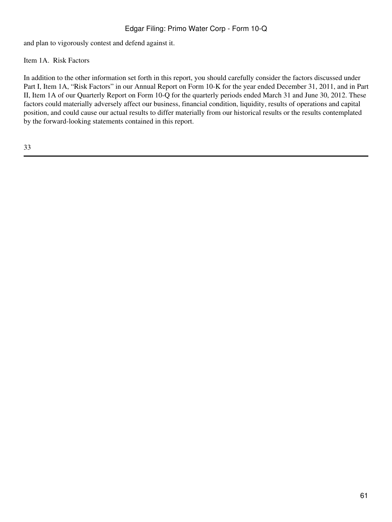and plan to vigorously contest and defend against it.

# <span id="page-60-0"></span>Item 1A. Risk Factors

In addition to the other information set forth in this report, you should carefully consider the factors discussed under Part I, Item 1A, "Risk Factors" in our Annual Report on Form 10-K for the year ended December 31, 2011, and in Part II, Item 1A of our Quarterly Report on Form 10-Q for the quarterly periods ended March 31 and June 30, 2012. These factors could materially adversely affect our business, financial condition, liquidity, results of operations and capital position, and could cause our actual results to differ materially from our historical results or the results contemplated by the forward-looking statements contained in this report.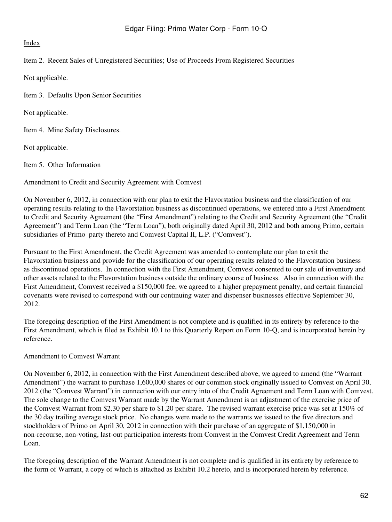<span id="page-61-0"></span>Item 2. Recent Sales of Unregistered Securities; Use of Proceeds From Registered Securities

Not applicable.

<span id="page-61-1"></span>Item 3. Defaults Upon Senior Securities

Not applicable.

<span id="page-61-2"></span>Item 4. Mine Safety Disclosures.

Not applicable.

<span id="page-61-3"></span>Item 5. Other Information

Amendment to Credit and Security Agreement with Comvest

On November 6, 2012, in connection with our plan to exit the Flavorstation business and the classification of our operating results relating to the Flavorstation business as discontinued operations, we entered into a First Amendment to Credit and Security Agreement (the "First Amendment") relating to the Credit and Security Agreement (the "Credit Agreement") and Term Loan (the "Term Loan"), both originally dated April 30, 2012 and both among Primo, certain subsidiaries of Primo party thereto and Comvest Capital II, L.P. ("Comvest").

Pursuant to the First Amendment, the Credit Agreement was amended to contemplate our plan to exit the Flavorstation business and provide for the classification of our operating results related to the Flavorstation business as discontinued operations. In connection with the First Amendment, Comvest consented to our sale of inventory and other assets related to the Flavorstation business outside the ordinary course of business. Also in connection with the First Amendment, Comvest received a \$150,000 fee, we agreed to a higher prepayment penalty, and certain financial covenants were revised to correspond with our continuing water and dispenser businesses effective September 30, 2012.

The foregoing description of the First Amendment is not complete and is qualified in its entirety by reference to the First Amendment, which is filed as Exhibit 10.1 to this Quarterly Report on Form 10-Q, and is incorporated herein by reference.

## Amendment to Comvest Warrant

On November 6, 2012, in connection with the First Amendment described above, we agreed to amend (the "Warrant Amendment") the warrant to purchase 1,600,000 shares of our common stock originally issued to Comvest on April 30, 2012 (the "Comvest Warrant") in connection with our entry into of the Credit Agreement and Term Loan with Comvest. The sole change to the Comvest Warrant made by the Warrant Amendment is an adjustment of the exercise price of the Comvest Warrant from \$2.30 per share to \$1.20 per share. The revised warrant exercise price was set at 150% of the 30 day trailing average stock price. No changes were made to the warrants we issued to the five directors and stockholders of Primo on April 30, 2012 in connection with their purchase of an aggregate of \$1,150,000 in non-recourse, non-voting, last-out participation interests from Comvest in the Comvest Credit Agreement and Term Loan.

The foregoing description of the Warrant Amendment is not complete and is qualified in its entirety by reference to the form of Warrant, a copy of which is attached as Exhibit 10.2 hereto, and is incorporated herein by reference.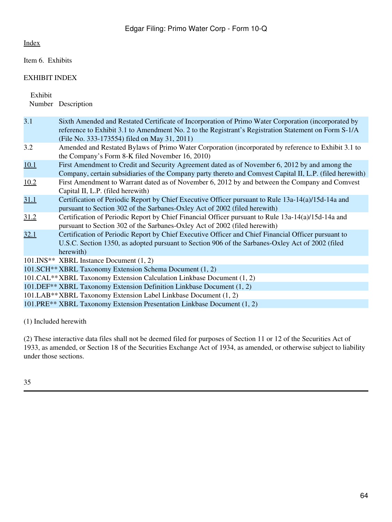<span id="page-63-0"></span>Item 6. Exhibits

# EXHIBIT INDEX

Exhibit

Number Description

| 3.1  | Sixth Amended and Restated Certificate of Incorporation of Primo Water Corporation (incorporated by<br>reference to Exhibit 3.1 to Amendment No. 2 to the Registrant's Registration Statement on Form S-1/A<br>(File No. 333-173554) filed on May 31, 2011) |  |  |
|------|-------------------------------------------------------------------------------------------------------------------------------------------------------------------------------------------------------------------------------------------------------------|--|--|
| 3.2  | Amended and Restated Bylaws of Primo Water Corporation (incorporated by reference to Exhibit 3.1 to<br>the Company's Form 8-K filed November 16, 2010)                                                                                                      |  |  |
| 10.1 | First Amendment to Credit and Security Agreement dated as of November 6, 2012 by and among the<br>Company, certain subsidiaries of the Company party thereto and Comvest Capital II, L.P. (filed herewith)                                                  |  |  |
| 10.2 | First Amendment to Warrant dated as of November 6, 2012 by and between the Company and Comvest<br>Capital II, L.P. (filed herewith)                                                                                                                         |  |  |
| 31.1 | Certification of Periodic Report by Chief Executive Officer pursuant to Rule 13a-14(a)/15d-14a and<br>pursuant to Section 302 of the Sarbanes-Oxley Act of 2002 (filed herewith)                                                                            |  |  |
| 31.2 | Certification of Periodic Report by Chief Financial Officer pursuant to Rule 13a-14(a)/15d-14a and<br>pursuant to Section 302 of the Sarbanes-Oxley Act of 2002 (filed herewith)                                                                            |  |  |
| 32.1 | Certification of Periodic Report by Chief Executive Officer and Chief Financial Officer pursuant to<br>U.S.C. Section 1350, as adopted pursuant to Section 906 of the Sarbanes-Oxley Act of 2002 (filed<br>herewith)                                        |  |  |
|      | 101. INS <sup>**</sup> XBRL Instance Document (1, 2)                                                                                                                                                                                                        |  |  |
|      | 101.SCH <sup>**</sup> XBRL Taxonomy Extension Schema Document (1, 2)                                                                                                                                                                                        |  |  |
|      | 101. CAL** XBRL Taxonomy Extension Calculation Linkbase Document (1, 2)                                                                                                                                                                                     |  |  |
|      | 101.DEF <sup>**</sup> XBRL Taxonomy Extension Definition Linkbase Document (1, 2)                                                                                                                                                                           |  |  |
|      | 101.LAB**XBRL Taxonomy Extension Label Linkbase Document (1, 2)                                                                                                                                                                                             |  |  |
|      | 101. PRE <sup>**</sup> XBRL Taxonomy Extension Presentation Linkbase Document (1, 2)                                                                                                                                                                        |  |  |
|      |                                                                                                                                                                                                                                                             |  |  |

(1) Included herewith

(2) These interactive data files shall not be deemed filed for purposes of Section 11 or 12 of the Securities Act of 1933, as amended, or Section 18 of the Securities Exchange Act of 1934, as amended, or otherwise subject to liability under those sections.